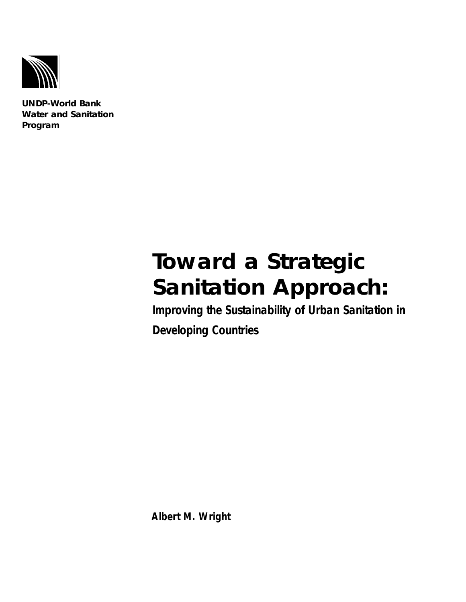

**UNDP-World Bank Water and Sanitation Program**

# **Toward a Strategic Sanitation Approach:**

**Improving the Sustainability of Urban Sanitation in Developing Countries**

**Albert M. Wright**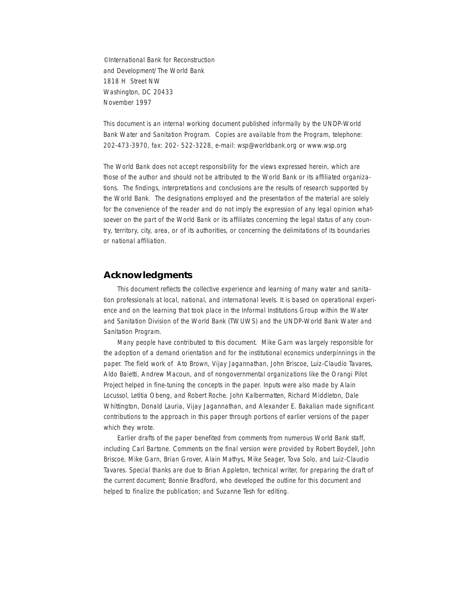©International Bank for Reconstruction and Development/The World Bank 1818 H Street NW Washington, DC 20433 November 1997

This document is an internal working document published informally by the UNDP-World Bank Water and Sanitation Program. Copies are available from the Program, telephone: 202-473-3970, fax: 202- 522-3228, e-mail: wsp@worldbank.org or www.wsp.org

The World Bank does not accept responsibility for the views expressed herein, which are those of the author and should not be attributed to the World Bank or its affiliated organizations. The findings, interpretations and conclusions are the results of research supported by the World Bank. The designations employed and the presentation of the material are solely for the convenience of the reader and do not imply the expression of any legal opinion whatsoever on the part of the World Bank or its affiliates concerning the legal status of any country, territory, city, area, or of its authorities, or concerning the delimitations of its boundaries or national affiliation.

## **Acknowledgments**

This document reflects the collective experience and learning of many water and sanitation professionals at local, national, and international levels. It is based on operational experience and on the learning that took place in the Informal Institutions Group within the Water and Sanitation Division of the World Bank (TWUWS) and the UNDP-World Bank Water and Sanitation Program.

Many people have contributed to this document. Mike Garn was largely responsible for the adoption of a demand orientation and for the institutional economics underpinnings in the paper. The field work of Ato Brown, Vijay Jagannathan, John Briscoe, Luiz-Claudio Tavares, Aldo Baietti, Andrew Macoun, and of nongovernmental organizations like the Orangi Pilot Project helped in fine-tuning the concepts in the paper. Inputs were also made by Alain Locussol, Letitia Obeng, and Robert Roche. John Kalbermatten, Richard Middleton, Dale Whittington, Donald Lauria, Vijay Jagannathan, and Alexander E. Bakalian made significant contributions to the approach in this paper through portions of earlier versions of the paper which they wrote.

Earlier drafts of the paper benefited from comments from numerous World Bank staff, including Carl Bartone. Comments on the final version were provided by Robert Boydell, John Briscoe, Mike Garn, Brian Grover, Alain Mathys, Mike Seager, Tova Solo, and Luiz-Claudio Tavares. Special thanks are due to Brian Appleton, technical writer, for preparing the draft of the current document; Bonnie Bradford, who developed the outline for this document and helped to finalize the publication; and Suzanne Tesh for editing.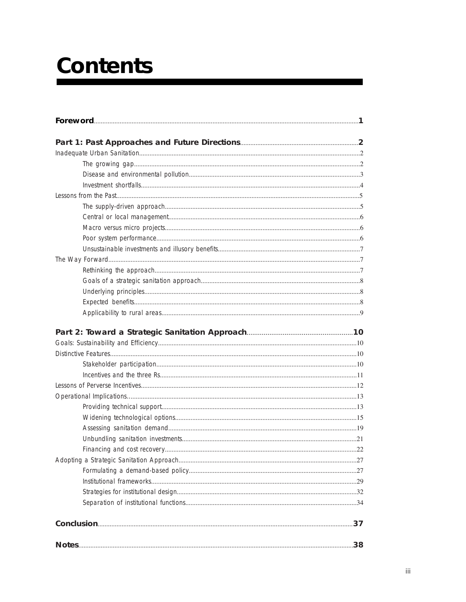# **Contents**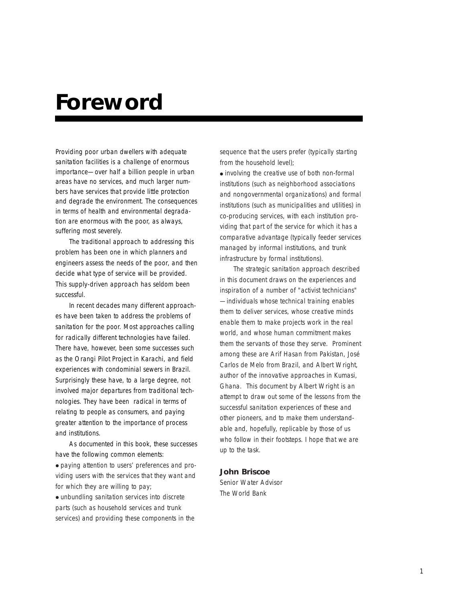## **Foreword**

Providing poor urban dwellers with adequate sanitation facilities is a challenge of enormous importance—over half a billion people in urban areas have no services, and much larger numbers have services that provide little protection and degrade the environment. The consequences in terms of health and environmental degradation are enormous with the poor, as always, suffering most severely.

The traditional approach to addressing this problem has been one in which planners and engineers assess the needs of the poor, and then decide what type of service will be provided. This supply-driven approach has seldom been successful.

In recent decades many different approaches have been taken to address the problems of sanitation for the poor. Most approaches calling for radically different technologies have failed. There have, however, been some successes such as the Orangi Pilot Project in Karachi, and field experiences with condominial sewers in Brazil. Surprisingly these have, to a large degree, not involved major departures from traditional technologies. They have been radical in terms of relating to people as consumers, and paying greater attention to the importance of process and institutions.

As documented in this book, these successes have the following common elements: ● paying attention to users' preferences and providing users with the services that they want and for which they are willing to pay; ● unbundling sanitation services into discrete parts (such as household services and trunk services) and providing these components in the

sequence that the users prefer (typically starting from the household level);

● involving the creative use of both non-formal institutions (such as neighborhood associations and nongovernmental organizations) and formal institutions (such as municipalities and utilities) in co-producing services, with each institution providing that part of the service for which it has a comparative advantage (typically feeder services managed by informal institutions, and trunk infrastructure by formal institutions).

The strategic sanitation approach described in this document draws on the experiences and inspiration of a number of "activist technicians" —individuals whose technical training enables them to deliver services, whose creative minds enable them to make projects work in the real world, and whose human commitment makes them the servants of those they serve. Prominent among these are Arif Hasan from Pakistan, José Carlos de Melo from Brazil, and Albert Wright, author of the innovative approaches in Kumasi, Ghana. This document by Albert Wright is an attempt to draw out some of the lessons from the successful sanitation experiences of these and other pioneers, and to make them understandable and, hopefully, replicable by those of us who follow in their footsteps. I hope that we are up to the task.

## **John Briscoe**

Senior Water Advisor The World Bank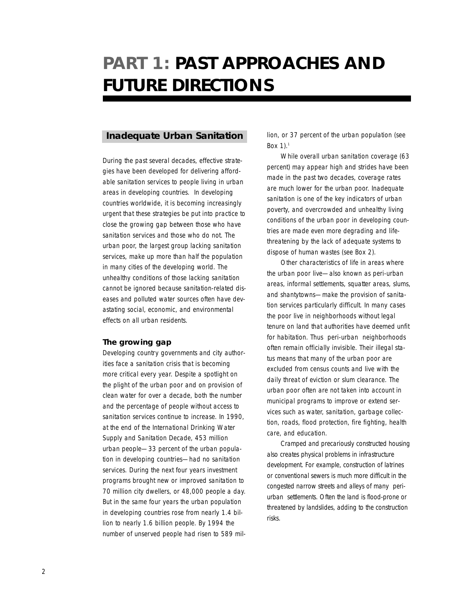## **PART 1: PAST APPROACHES AND FUTURE DIRECTIONS**

## **Inadequate Urban Sanitation**

During the past several decades, effective strategies have been developed for delivering affordable sanitation services to people living in urban areas in developing countries. In developing countries worldwide, it is becoming increasingly urgent that these strategies be put into practice to close the growing gap between those who have sanitation services and those who do not. The urban poor, the largest group lacking sanitation services, make up more than half the population in many cities of the developing world. The unhealthy conditions of those lacking sanitation cannot be ignored because sanitation-related diseases and polluted water sources often have devastating social, economic, and environmental effects on all urban residents.

## **The growing gap**

Developing country governments and city authorities face a sanitation crisis that is becoming more critical every year. Despite a spotlight on the plight of the urban poor and on provision of clean water for over a decade, both the number and the percentage of people without access to sanitation services continue to increase. In 1990, at the end of the International Drinking Water Supply and Sanitation Decade, 453 million urban people—33 percent of the urban population in developing countries—had no sanitation services. During the next four years investment programs brought new or improved sanitation to 70 million city dwellers, or 48,000 people a day. But in the same four years the urban population in developing countries rose from nearly 1.4 billion to nearly 1.6 billion people. By 1994 the number of unserved people had risen to 589 million, or 37 percent of the urban population (see Box  $1$ ).<sup>1</sup>

While overall urban sanitation coverage (63 percent) may appear high and strides have been made in the past two decades, coverage rates are much lower for the urban poor. Inadequate sanitation is one of the key indicators of urban poverty, and overcrowded and unhealthy living conditions of the urban poor in developing countries are made even more degrading and lifethreatening by the lack of adequate systems to dispose of human wastes (see Box 2).

Other characteristics of life in areas where the urban poor live—also known as peri-urban areas, informal settlements, squatter areas, slums, and shantytowns—make the provision of sanitation services particularly difficult. In many cases the poor live in neighborhoods without legal tenure on land that authorities have deemed unfit for habitation. Thus peri-urban neighborhoods often remain officially invisible. Their illegal status means that many of the urban poor are excluded from census counts and live with the daily threat of eviction or slum clearance. The urban poor often are not taken into account in municipal programs to improve or extend services such as water, sanitation, garbage collection, roads, flood protection, fire fighting, health care, and education.

Cramped and precariously constructed housing also creates physical problems in infrastructure development. For example, construction of latrines or conventional sewers is much more difficult in the congested narrow streets and alleys of many periurban settlements. Often the land is flood-prone or threatened by landslides, adding to the construction risks.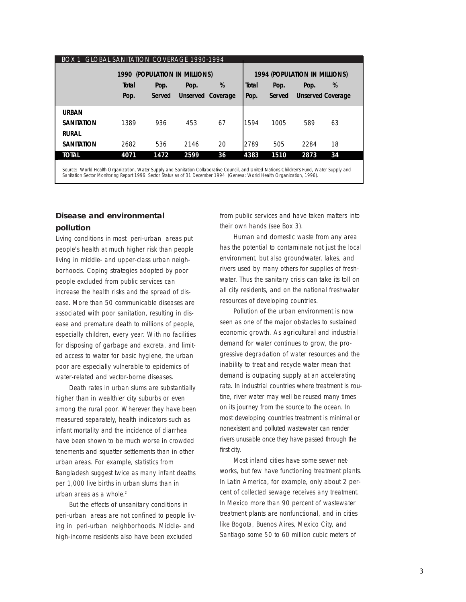| <b>GLOBAL SANITATION COVERAGE 1990-1994</b><br>BOX 1<br>1990 (POPULATION IN MILLIONS)                                                      |       |        |      |                   |       | <b>1994 (POPULATION IN MILLIONS)</b> |                          |    |  |
|--------------------------------------------------------------------------------------------------------------------------------------------|-------|--------|------|-------------------|-------|--------------------------------------|--------------------------|----|--|
|                                                                                                                                            | Total | Pop.   | Pop. | %                 | Total | Pop.                                 | Pop.                     | %  |  |
|                                                                                                                                            | Pop.  | Served |      | Unserved Coverage | Pop.  | Served                               | <b>Unserved Coverage</b> |    |  |
| <b>URBAN</b>                                                                                                                               |       |        |      |                   |       |                                      |                          |    |  |
| <b>SANITATION</b>                                                                                                                          | 1389  | 936    | 453  | 67                | 1594  | 1005                                 | 589                      | 63 |  |
| <b>RURAL</b>                                                                                                                               |       |        |      |                   |       |                                      |                          |    |  |
| <b>SANITATION</b>                                                                                                                          | 2682  | 536    | 2146 | 20                | 2789  | 505                                  | 2284                     | 18 |  |
| <b>TOTAL</b>                                                                                                                               | 4071  | 1472   | 2599 | 36                | 4383  | 1510                                 | 2873                     | 34 |  |
| Source: World Health Organization, Water Sunnly and Sanitation Collaborative Council, and United Nations Children's Fund, Water Sunnly and |       |        |      |                   |       |                                      |                          |    |  |

Source: World Health Organization, Water Supply and Sanitation Collaborative Council, and United Nations Children's Fund, Water Supply and<br>Sanitation Sector Monitoring Report 1996: Sector Status as of 31 December 1994 (Gen

## **Disease and environmental pollution**

Living conditions in most peri-urban areas put people's health at much higher risk than people living in middle- and upper-class urban neighborhoods. Coping strategies adopted by poor people excluded from public services can increase the health risks and the spread of disease. More than 50 communicable diseases are associated with poor sanitation, resulting in disease and premature death to millions of people, especially children, every year. With no facilities for disposing of garbage and excreta, and limited access to water for basic hygiene, the urban poor are especially vulnerable to epidemics of water-related and vector-borne diseases.

Death rates in urban slums are substantially higher than in wealthier city suburbs or even among the rural poor. Wherever they have been measured separately, health indicators such as infant mortality and the incidence of diarrhea have been shown to be much worse in crowded tenements and squatter settlements than in other urban areas. For example, statistics from Bangladesh suggest twice as many infant deaths per 1,000 live births in urban slums than in urban areas as a whole.<sup>2</sup>

But the effects of unsanitary conditions in peri-urban areas are not confined to people living in peri-urban neighborhoods. Middle- and high-income residents also have been excluded

from public services and have taken matters into their own hands (see Box 3).

Human and domestic waste from any area has the potential to contaminate not just the local environment, but also groundwater, lakes, and rivers used by many others for supplies of freshwater. Thus the sanitary crisis can take its toll on all city residents, and on the national freshwater resources of developing countries.

Pollution of the urban environment is now seen as one of the major obstacles to sustained economic growth. As agricultural and industrial demand for water continues to grow, the progressive degradation of water resources and the inability to treat and recycle water mean that demand is outpacing supply at an accelerating rate. In industrial countries where treatment is routine, river water may well be reused many times on its journey from the source to the ocean. In most developing countries treatment is minimal or nonexistent and polluted wastewater can render rivers unusable once they have passed through the first city.

Most inland cities have some sewer networks, but few have functioning treatment plants. In Latin America, for example, only about 2 percent of collected sewage receives any treatment. In Mexico more than 90 percent of wastewater treatment plants are nonfunctional, and in cities like Bogota, Buenos Aires, Mexico City, and Santiago some 50 to 60 million cubic meters of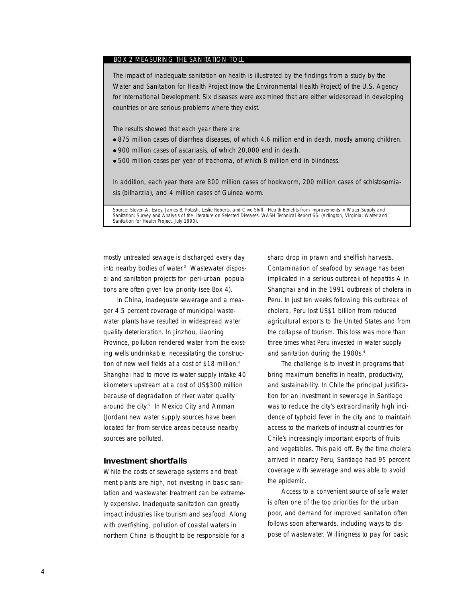#### BOX 2 MEASURING THE SANITATION TOLL

The impact of inadequate sanitation on health is illustrated by the findings from a study by the Water and Sanitation for Health Project (now the Environmental Health Project) of the U.S. Agency for International Development. Six diseases were examined that are either widespread in developing countries or are serious problems where they exist.

The results showed that each year there are:

- 875 million cases of diarrhea diseases, of which 4.6 million end in death, mostly among children.
- 900 million cases of ascariasis, of which 20,000 end in death.
- 500 million cases per year of trachoma, of which 8 million end in blindness.

In addition, each year there are 800 million cases of hookworm, 200 million cases of schistosomiasis (bilharzia), and 4 million cases of Guinea worm.

Source: Steven A. Esrey, James B. Potash, Leslie Roberts, and Clive Shiff, *Health Benefits from Improvements in Water Supply and Sanitation: Survey and Analysis of the Literature on Selected Diseases.* WASH Technical Report 66. (Arlington, Virginia: Water and Sanitation for Health Project, July 1990).

mostly untreated sewage is discharged every day into nearby bodies of water. <sup>3</sup> Wastewater disposal and sanitation projects for peri-urban populations are often given low priority (see Box 4).

In China, inadequate sewerage and a meager 4.5 percent coverage of municipal wastewater plants have resulted in widespread water quality deterioration. In Jinzhou, Liaoning Province, pollution rendered water from the existing wells undrinkable, necessitating the construction of new well fields at a cost of \$18 million.<sup>4</sup> Shanghai had to move its water supply intake 40 kilometers upstream at a cost of US\$300 million because of degradation of river water quality around the city. <sup>5</sup> In Mexico City and Amman (Jordan) new water supply sources have been located far from service areas because nearby sources are polluted.

#### **Investment shortfalls**

While the costs of sewerage systems and treatment plants are high, not investing in basic sanitation and wastewater treatment can be extremely expensive. Inadequate sanitation can greatly impact industries like tourism and seafood. Along with overfishing, pollution of coastal waters in northern China is thought to be responsible for a

sharp drop in prawn and shellfish harvests. Contamination of seafood by sewage has been implicated in a serious outbreak of hepatitis A in Shanghai and in the 1991 outbreak of cholera in Peru. In just ten weeks following this outbreak of cholera, Peru lost US\$1 billion from reduced agricultural exports to the United States and from the collapse of tourism. This loss was more than three times what Peru invested in water supply and sanitation during the 1980s.<sup>6</sup>

The challenge is to invest in programs that bring maximum benefits in health, productivity, and sustainability. In Chile the principal justification for an investment in sewerage in Santiago was to reduce the city's extraordinarily high incidence of typhoid fever in the city and to maintain access to the markets of industrial countries for Chile's increasingly important exports of fruits and vegetables. This paid off. By the time cholera arrived in nearby Peru, Santiago had 95 percent coverage with sewerage and was able to avoid the epidemic.

Access to a convenient source of safe water is often one of the top priorities for the urban poor, and demand for improved sanitation often follows soon afterwards, including ways to dispose of wastewater. Willingness to pay for basic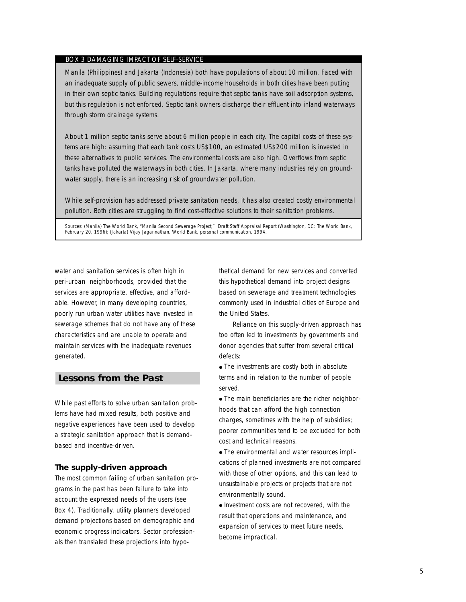### BOX 3 DAMAGING IMPACT OF SELF-SERVICE

Manila (Philippines) and Jakarta (Indonesia) both have populations of about 10 million. Faced with an inadequate supply of public sewers, middle-income households in both cities have been putting in their own septic tanks. Building regulations require that septic tanks have soil adsorption systems, but this regulation is not enforced. Septic tank owners discharge their effluent into inland waterways through storm drainage systems.

About 1 million septic tanks serve about 6 million people in each city. The capital costs of these systems are high: assuming that each tank costs US\$100, an estimated US\$200 million is invested in these alternatives to public services. The environmental costs are also high. Overflows from septic tanks have polluted the waterways in both cities. In Jakarta, where many industries rely on groundwater supply, there is an increasing risk of groundwater pollution.

While self-provision has addressed private sanitation needs, it has also created costly environmental pollution. Both cities are struggling to find cost-effective solutions to their sanitation problems.

Sources: (Manila) The World Bank, "Manila Second Sewerage Project," Draft Staff Appraisal Report (Washington, DC: The World Bank, February 20, 1996); (Jakarta) Vijay Jagannathan, World Bank, personal communication, 1994.

water and sanitation services is often high in peri-urban neighborhoods, provided that the services are appropriate, effective, and affordable. However, in many developing countries, poorly run urban water utilities have invested in sewerage schemes that do not have any of these characteristics and are unable to operate and maintain services with the inadequate revenues generated.

## **Lessons from the Past**

While past efforts to solve urban sanitation problems have had mixed results, both positive and negative experiences have been used to develop a strategic sanitation approach that is demandbased and incentive-driven.

## **The supply-driven approach**

The most common failing of urban sanitation programs in the past has been failure to take into account the expressed needs of the users (see Box 4). Traditionally, utility planners developed demand projections based on demographic and economic progress indicators. Sector professionals then translated these projections into hypothetical demand for new services and converted this hypothetical demand into project designs based on sewerage and treatment technologies commonly used in industrial cities of Europe and the United States.

Reliance on this supply-driven approach has too often led to investments by governments and donor agencies that suffer from several critical defects:

• The investments are costly both in absolute terms and in relation to the number of people served.

• The main beneficiaries are the richer neighborhoods that can afford the high connection charges, sometimes with the help of subsidies; poorer communities tend to be excluded for both cost and technical reasons.

• The environmental and water resources implications of planned investments are not compared with those of other options, and this can lead to unsustainable projects or projects that are not environmentally sound.

● Investment costs are not recovered, with the result that operations and maintenance, and expansion of services to meet future needs, become impractical.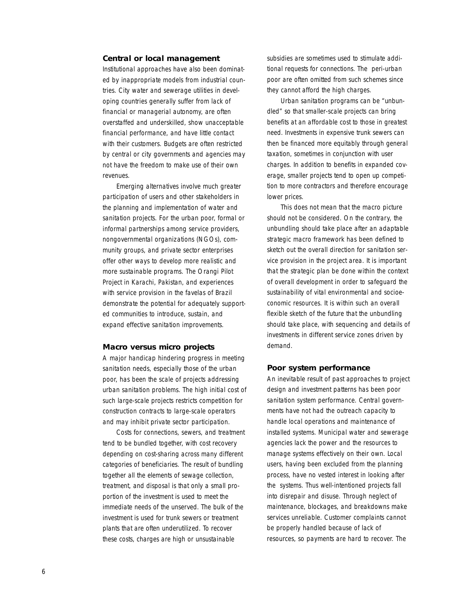## **Central or local management**

Institutional approaches have also been dominated by inappropriate models from industrial countries. City water and sewerage utilities in developing countries generally suffer from lack of financial or managerial autonomy, are often overstaffed and underskilled, show unacceptable financial performance, and have little contact with their customers. Budgets are often restricted by central or city governments and agencies may not have the freedom to make use of their own revenues.

Emerging alternatives involve much greater participation of users and other stakeholders in the planning and implementation of water and sanitation projects. For the urban poor, formal or informal partnerships among service providers, nongovernmental organizations (NGOs), community groups, and private sector enterprises offer other ways to develop more realistic and more sustainable programs. The Orangi Pilot Project in Karachi, Pakistan, and experiences with service provision in the *favelas* of Brazil demonstrate the potential for adequately supported communities to introduce, sustain, and expand effective sanitation improvements.

### **Macro versus micro projects**

A major handicap hindering progress in meeting sanitation needs, especially those of the urban poor, has been the scale of projects addressing urban sanitation problems. The high initial cost of such large-scale projects restricts competition for construction contracts to large-scale operators and may inhibit private sector participation.

Costs for connections, sewers, and treatment tend to be bundled together, with cost recovery depending on cost-sharing across many different categories of beneficiaries. The result of bundling together all the elements of sewage collection, treatment, and disposal is that only a small proportion of the investment is used to meet the immediate needs of the unserved. The bulk of the investment is used for trunk sewers or treatment plants that are often underutilized. To recover these costs, charges are high or unsustainable

subsidies are sometimes used to stimulate additional requests for connections. The peri-urban poor are often omitted from such schemes since they cannot afford the high charges.

Urban sanitation programs can be "unbundled" so that smaller-scale projects can bring benefits at an affordable cost to those in greatest need. Investments in expensive trunk sewers can then be financed more equitably through general taxation, sometimes in conjunction with user charges. In addition to benefits in expanded coverage, smaller projects tend to open up competition to more contractors and therefore encourage lower prices.

This does not mean that the macro picture should not be considered. On the contrary, the unbundling should take place after an adaptable strategic macro framework has been defined to sketch out the overall direction for sanitation service provision in the project area. It is important that the strategic plan be done within the context of overall development in order to safeguard the sustainability of vital environmental and socioeconomic resources. It is within such an overall flexible sketch of the future that the unbundling should take place, with sequencing and details of investments in different service zones driven by demand.

#### **Poor system performance**

An inevitable result of past approaches to project design and investment patterns has been poor sanitation system performance. Central governments have not had the outreach capacity to handle local operations and maintenance of installed systems. Municipal water and sewerage agencies lack the power and the resources to manage systems effectively on their own. Local users, having been excluded from the planning process, have no vested interest in looking after the systems. Thus well-intentioned projects fall into disrepair and disuse. Through neglect of maintenance, blockages, and breakdowns make services unreliable. Customer complaints cannot be properly handled because of lack of resources, so payments are hard to recover. The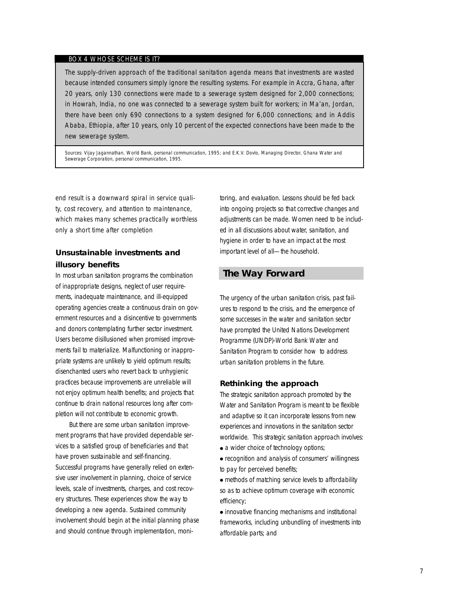## BOX 4 WHOSE SCHEME IS IT?

The supply-driven approach of the traditional sanitation agenda means that investments are wasted because intended consumers simply ignore the resulting systems. For example in Accra, Ghana, after 20 years, only 130 connections were made to a sewerage system designed for 2,000 connections; in Howrah, India, no one was connected to a sewerage system built for workers; in Ma'an, Jordan, there have been only 690 connections to a system designed for 6,000 connections; and in Addis Ababa, Ethiopia, after 10 years, only 10 percent of the expected connections have been made to the new sewerage system.

Sources: Vijay Jagannathan, World Bank, personal communication, 1995; and E.K.V. Dovlo, Managing Director, Ghana Water and Sewerage Corporation, personal communication, 1995.

end result is a downward spiral in service quality, cost recovery, and attention to maintenance, which makes many schemes practically worthless only a short time after completion

## **Unsustainable investments and illusory benefits**

In most urban sanitation programs the combination of inappropriate designs, neglect of user requirements, inadequate maintenance, and ill-equipped operating agencies create a continuous drain on government resources and a disincentive to governments and donors contemplating further sector investment. Users become disillusioned when promised improvements fail to materialize. Malfunctioning or inappropriate systems are unlikely to yield optimum results; disenchanted users who revert back to unhygienic practices because improvements are unreliable will not enjoy optimum health benefits; and projects that continue to drain national resources long after completion will not contribute to economic growth.

But there are some urban sanitation improvement programs that have provided dependable services to a satisfied group of beneficiaries and that have proven sustainable and self-financing. Successful programs have generally relied on extensive user involvement in planning, choice of service levels, scale of investments, charges, and cost recovery structures. These experiences show the way to developing a new agenda. Sustained community involvement should begin at the initial planning phase and should continue through implementation, monitoring, and evaluation. Lessons should be fed back into ongoing projects so that corrective changes and adjustments can be made. Women need to be included in all discussions about water, sanitation, and hygiene in order to have an impact at the most important level of all—the household.

## **The Way Forward**

The urgency of the urban sanitation crisis, past failures to respond to the crisis, and the emergence of some successes in the water and sanitation sector have prompted the United Nations Development Programme (UNDP)-World Bank Water and Sanitation Program to consider how to address urban sanitation problems in the future.

#### **Rethinking the approach**

The strategic sanitation approach promoted by the Water and Sanitation Program is meant to be flexible and adaptive so it can incorporate lessons from new experiences and innovations in the sanitation sector worldwide. This strategic sanitation approach involves:

• a wider choice of technology options;

● recognition and analysis of consumers' willingness to pay for perceived benefits;

• methods of matching service levels to affordability so as to achieve optimum coverage with economic efficiency;

● innovative financing mechanisms and institutional frameworks, including unbundling of investments into affordable parts; and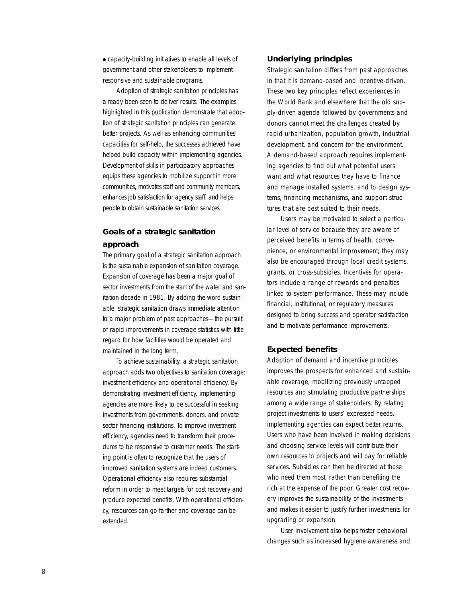● capacity-building initiatives to enable all levels of government and other stakeholders to implement responsive and sustainable programs.

Adoption of strategic sanitation principles has already been seen to deliver results. The examples highlighted in this publication demonstrate that adoption of strategic sanitation principles can generate better projects. As well as enhancing communities' capacities for self-help, the successes achieved have helped build capacity within implementing agencies. Development of skills in participatory approaches equips these agencies to mobilize support in more communities, motivates staff and community members, enhances job satisfaction for agency staff, and helps people to obtain sustainable sanitation services.

## **Goals of a strategic sanitation approach**

The primary goal of a strategic sanitation approach is the sustainable expansion of sanitation coverage. Expansion of coverage has been a major goal of sector investments from the start of the water and sanitation decade in 1981. By adding the word sustainable, strategic sanitation draws immediate attention to a major problem of past approaches—the pursuit of rapid improvements in coverage statistics with little regard for how facilities would be operated and maintained in the long term.

To achieve sustainability, a strategic sanitation approach adds two objectives to sanitation coverage: investment efficiency and operational efficiency. By demonstrating investment efficiency, implementing agencies are more likely to be successful in seeking investments from governments, donors, and private sector financing institutions. To improve investment efficiency, agencies need to transform their procedures to be responsive to customer needs. The starting point is often to recognize that the users of improved sanitation systems are indeed customers. Operational efficiency also requires substantial reform in order to meet targets for cost recovery and produce expected benefits. With operational efficiency, resources can go farther and coverage can be extended.

## **Underlying principles**

Strategic sanitation differs from past approaches in that it is demand-based and incentive-driven. These two key principles reflect experiences in the World Bank and elsewhere that the old supply-driven agenda followed by governments and donors cannot meet the challenges created by rapid urbanization, population growth, industrial development, and concern for the environment. A demand-based approach requires implementing agencies to find out what potential users want and what resources they have to finance and manage installed systems, and to design systems, financing mechanisms, and support structures that are best suited to their needs.

Users may be motivated to select a particular level of service because they are aware of perceived benefits in terms of health, convenience, or environmental improvement; they may also be encouraged through local credit systems, grants, or cross-subsidies. Incentives for operators include a range of rewards and penalties linked to system performance. These may include financial, institutional, or regulatory measures designed to bring success and operator satisfaction and to motivate performance improvements.

## **Expected benefits**

Adoption of demand and incentive principles improves the prospects for enhanced and sustainable coverage, mobilizing previously untapped resources and stimulating productive partnerships among a wide range of stakeholders. By relating project investments to users' expressed needs, implementing agencies can expect better returns. Users who have been involved in making decisions and choosing service levels will contribute their own resources to projects and will pay for reliable services. Subsidies can then be directed at those who need them most, rather than benefiting the rich at the expense of the poor. Greater cost recovery improves the sustainability of the investments and makes it easier to justify further investments for upgrading or expansion.

User involvement also helps foster behavioral changes such as increased hygiene awareness and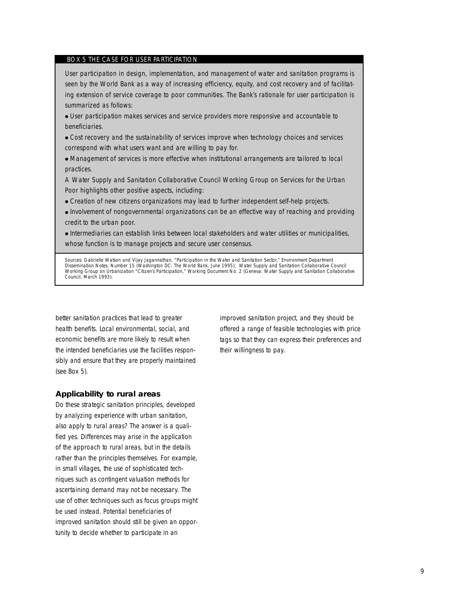#### BOX 5 THE CASE FOR USER PARTICIPATION

User participation in design, implementation, and management of water and sanitation programs is seen by the World Bank as a way of increasing efficiency, equity, and cost recovery and of facilitating extension of service coverage to poor communities. The Bank's rationale for user participation is summarized as follows:

● User participation makes services and service providers more responsive and accountable to beneficiaries.

• Cost recovery and the sustainability of services improve when technology choices and services correspond with what users want and are willing to pay for.

● Management of services is more effective when institutional arrangements are tailored to local practices.

A Water Supply and Sanitation Collaborative Council Working Group on Services for the Urban Poor highlights other positive aspects, including:

• Creation of new citizens organizations may lead to further independent self-help projects.

● Involvement of nongovernmental organizations can be an effective way of reaching and providing credit to the urban poor.

● Intermediaries can establish links between local stakeholders and water utilities or municipalities, whose function is to manage projects and secure user consensus.

Sources: Gabrielle Watson and Vijay Jagannathan, "Participation in the Water and Sanitation Sector," *Environment Department*<br>*Dissemination Notes*, Number 15 (Washington DC: The World Bank, June 1995); Water Supply and Sa Council, March 1993).

better sanitation practices that lead to greater health benefits. Local environmental, social, and economic benefits are more likely to result when the intended beneficiaries use the facilities responsibly and ensure that they are properly maintained (see Box 5).

#### **Applicability to rural areas**

Do these strategic sanitation principles, developed by analyzing experience with urban sanitation, also apply to rural areas? The answer is a qualified yes. Differences may arise in the application of the approach to rural areas, but in the details rather than the principles themselves. For example, in small villages, the use of sophisticated techniques such as contingent valuation methods for ascertaining demand may not be necessary. The use of other techniques such as focus groups might be used instead. Potential beneficiaries of improved sanitation should still be given an opportunity to decide whether to participate in an

improved sanitation project, and they should be offered a range of feasible technologies with price tags so that they can express their preferences and their willingness to pay.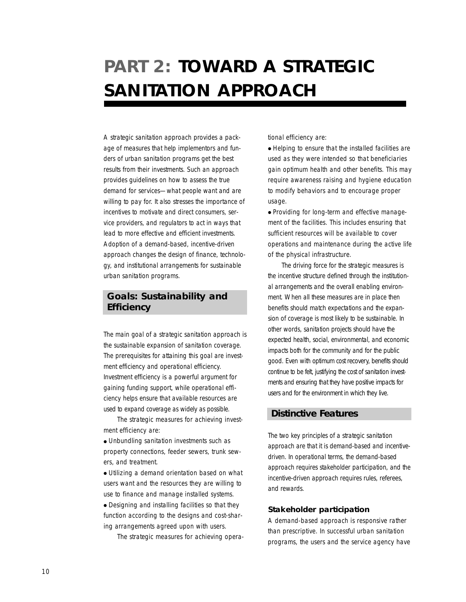## **PART 2: TOWARD A STRATEGIC SANITATION APPROACH**

A strategic sanitation approach provides a package of measures that help implementors and funders of urban sanitation programs get the best results from their investments. Such an approach provides guidelines on how to assess the true demand for services—what people want and are willing to pay for. It also stresses the importance of incentives to motivate and direct consumers, service providers, and regulators to act in ways that lead to more effective and efficient investments. Adoption of a demand-based, incentive-driven approach changes the design of finance, technology, and institutional arrangements for sustainable urban sanitation programs.

## **Goals: Sustainability and Efficiency**

The main goal of a strategic sanitation approach is the sustainable expansion of sanitation coverage. The prerequisites for attaining this goal are investment efficiency and operational efficiency. Investment efficiency is a powerful argument for gaining funding support, while operational efficiency helps ensure that available resources are used to expand coverage as widely as possible.

The strategic measures for achieving investment efficiency are:

● Unbundling sanitation investments such as property connections, feeder sewers, trunk sewers, and treatment.

● Utilizing a demand orientation based on what users want and the resources they are willing to use to finance and manage installed systems.

● Designing and installing facilities so that they function according to the designs and cost-sharing arrangements agreed upon with users.

The strategic measures for achieving opera-

tional efficiency are:

● Helping to ensure that the installed facilities are used as they were intended so that beneficiaries gain optimum health and other benefits. This may require awareness raising and hygiene education to modify behaviors and to encourage proper usage.

● Providing for long-term and effective management of the facilities. This includes ensuring that sufficient resources will be available to cover operations and maintenance during the active life of the physical infrastructure.

The driving force for the strategic measures is the incentive structure defined through the institutional arrangements and the overall enabling environment. When all these measures are in place then benefits should match expectations and the expansion of coverage is most likely to be sustainable. In other words, sanitation projects should have the expected health, social, environmental, and economic impacts both for the community and for the public good. Even with optimum cost recovery, benefits should continue to be felt, justifying the cost of sanitation investments and ensuring that they have positive impacts for users and for the environment in which they live.

## **Distinctive Features**

The two key principles of a strategic sanitation approach are that it is demand-based and incentivedriven. In operational terms, the demand-based approach requires stakeholder participation, and the incentive-driven approach requires rules, referees, and rewards.

## **Stakeholder participation**

A demand-based approach is responsive rather than prescriptive. In successful urban sanitation programs, the users and the service agency have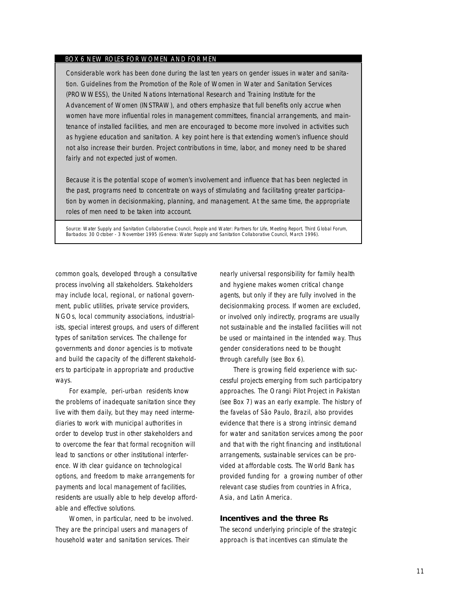## BOX 6 NEW ROLES FOR WOMEN AND FOR MEN

Considerable work has been done during the last ten years on gender issues in water and sanitation. Guidelines from the Promotion of the Role of Women in Water and Sanitation Services (PROWWESS), the United Nations International Research and Training Institute for the Advancement of Women (INSTRAW), and others emphasize that full benefits only accrue when women have more influential roles in management committees, financial arrangements, and maintenance of installed facilities, and men are encouraged to become more involved in activities such as hygiene education and sanitation. A key point here is that extending women's influence should not also increase their burden. Project contributions in time, labor, and money need to be shared fairly and not expected just of women.

Because it is the potential scope of women's involvement and influence that has been neglected in the past, programs need to concentrate on ways of stimulating and facilitating greater participation by women in decisionmaking, planning, and management. At the same time, the appropriate roles of men need to be taken into account.

Source: Water Supply and Sanitation Collaborative Council, *People and Water: Partners for Life, Meeting Report,* Third Global Forum, Barbados: 30 October - 3 November 1995 (Geneva: Water Supply and Sanitation Collaborative Council, March 1996).

common goals, developed through a consultative process involving all stakeholders. Stakeholders may include local, regional, or national government, public utilities, private service providers, NGOs, local community associations, industrialists, special interest groups, and users of different types of sanitation services. The challenge for governments and donor agencies is to motivate and build the capacity of the different stakeholders to participate in appropriate and productive ways.

For example, peri-urban residents know the problems of inadequate sanitation since they live with them daily, but they may need intermediaries to work with municipal authorities in order to develop trust in other stakeholders and to overcome the fear that formal recognition will lead to sanctions or other institutional interference. With clear guidance on technological options, and freedom to make arrangements for payments and local management of facilities, residents are usually able to help develop affordable and effective solutions.

Women, in particular, need to be involved. They are the principal users and managers of household water and sanitation services. Their

nearly universal responsibility for family health and hygiene makes women critical change agents, but only if they are fully involved in the decisionmaking process. If women are excluded, or involved only indirectly, programs are usually not sustainable and the installed facilities will not be used or maintained in the intended way. Thus gender considerations need to be thought through carefully (see Box 6).

There is growing field experience with successful projects emerging from such participatory approaches. The Orangi Pilot Project in Pakistan (see Box 7) was an early example. The history of the *favelas* of São Paulo, Brazil, also provides evidence that there is a strong intrinsic demand for water and sanitation services among the poor and that with the right financing and institutional arrangements, sustainable services can be provided at affordable costs. The World Bank has provided funding for a growing number of other relevant case studies from countries in Africa, Asia, and Latin America.

## **Incentives and the three Rs**

The second underlying principle of the strategic approach is that incentives can stimulate the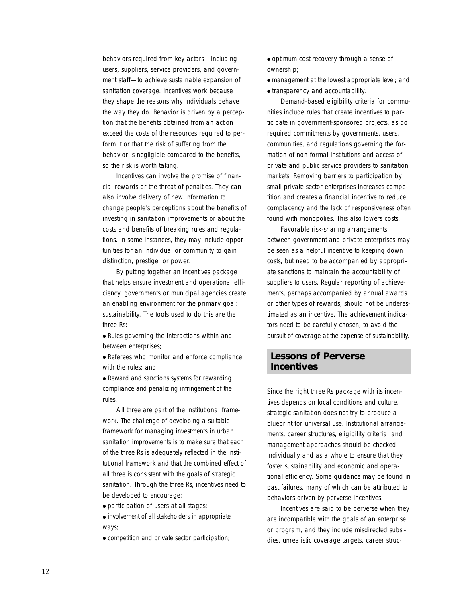behaviors required from key actors—including users, suppliers, service providers, and government staff—to achieve sustainable expansion of sanitation coverage. Incentives work because they shape the reasons why individuals behave the way they do. Behavior is driven by a perception that the benefits obtained from an action exceed the costs of the resources required to perform it or that the risk of suffering from the behavior is negligible compared to the benefits, so the risk is worth taking.

Incentives can involve the promise of financial rewards or the threat of penalties. They can also involve delivery of new information to change people's perceptions about the benefits of investing in sanitation improvements or about the costs and benefits of breaking rules and regulations. In some instances, they may include opportunities for an individual or community to gain distinction, prestige, or power.

By putting together an incentives package that helps ensure investment and operational efficiency, governments or municipal agencies create an enabling environment for the primary goal: sustainability. The tools used to do this are the three Rs:

● *Rules* governing the interactions within and between enterprises;

● *Referees* who monitor and enforce compliance with the rules; and

• *Reward* and sanctions systems for rewarding compliance and penalizing infringement of the rules.

All three are part of the institutional framework. The challenge of developing a suitable framework for managing investments in urban sanitation improvements is to make sure that each of the three Rs is adequately reflected in the institutional framework and that the combined effect of all three is consistent with the goals of strategic sanitation. Through the three Rs, incentives need to be developed to encourage:

● participation of users at all stages;

● involvement of all stakeholders in appropriate ways;

● competition and private sector participation;

- optimum cost recovery through a sense of ownership;
- management at the lowest appropriate level; and
- transparency and accountability.

Demand-based eligibility criteria for communities include rules that create incentives to participate in government-sponsored projects, as do required commitments by governments, users, communities, and regulations governing the formation of non-formal institutions and access of private and public service providers to sanitation markets. Removing barriers to participation by small private sector enterprises increases competition and creates a financial incentive to reduce complacency and the lack of responsiveness often found with monopolies. This also lowers costs.

Favorable risk-sharing arrangements between government and private enterprises may be seen as a helpful incentive to keeping down costs, but need to be accompanied by appropriate sanctions to maintain the accountability of suppliers to users. Regular reporting of achievements, perhaps accompanied by annual awards or other types of rewards, should not be underestimated as an incentive. The achievement indicators need to be carefully chosen, to avoid the pursuit of coverage at the expense of sustainability.

## **Lessons of Perverse Incentives**

Since the right three Rs package with its incentives depends on local conditions and culture, strategic sanitation does not try to produce a blueprint for universal use. Institutional arrangements, career structures, eligibility criteria, and management approaches should be checked individually and as a whole to ensure that they foster sustainability and economic and operational efficiency. Some guidance may be found in past failures, many of which can be attributed to behaviors driven by perverse incentives.

Incentives are said to be perverse when they are incompatible with the goals of an enterprise or program, and they include misdirected subsidies, unrealistic coverage targets, career struc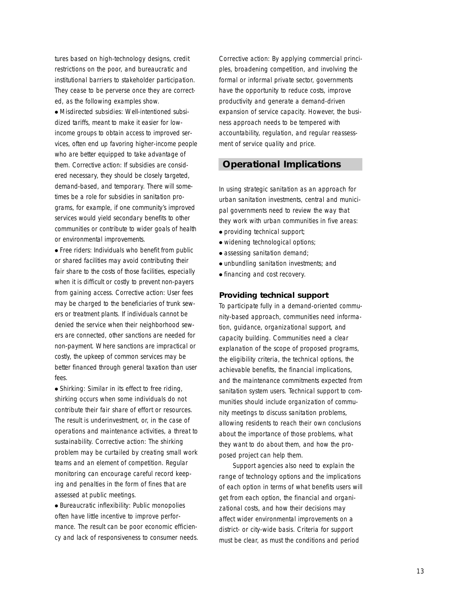tures based on high-technology designs, credit restrictions on the poor, and bureaucratic and institutional barriers to stakeholder participation. They cease to be perverse once they are corrected, as the following examples show.

● *Misdirected subsidies:* Well-intentioned subsidized tariffs, meant to make it easier for lowincome groups to obtain access to improved services, often end up favoring higher-income people who are better equipped to take advantage of them. Corrective action: If subsidies are considered necessar y, they should be closely targeted, demand-based, and temporar y. There will some times be a role for subsidies in sanitation pr o grams, for example, if one community's improved services would yield secondary benefits to other communities or contribute to wider goals of health or environmental improvements.

● *Free riders:* Individuals who benefit from public or shared facilities may avoid contributing their fair share to the costs of those facilities, especially when it is difficult or costly to prevent non-payers from gaining access. *Cor rective action:* User fees may be charged to the beneficiaries of trunk sew ers or treatment plants. If individuals cannot be denied the service when their neighborhood sew ers are connected, other sanctions are needed for non-payment. Where sanctions are impractical or costly, the upkeep of common services may be better financed through general taxation than user fees.

● *Shirking*: Similar in its effect to free riding, shirking occurs when some individuals do not contribute their fair share of effort or resources. The result is underinvestment, or, in the case of operations and maintenance activities, a threat to sustainability. *Cor rective action:* The shirking problem may be curtailed by creating small work teams and an element of competition. Regular monitoring can encourage careful record keep ing and penalties in the form of fines that ar e assessed at public meetings.

● *Bureaucratic inflexibility:* Public monopolies often have little incentive to improve perfor mance. The result can be poor economic efficien cy and lack of responsiveness to consumer needs.

Corrective action: By applying commercial principles, broadening competition, and involving the formal or informal private sector, governments have the opportunity to reduce costs, improve productivity and generate a demand-driven expansion of service capacity. However, the busi ness approach needs to be tempered with accountability, regulation, and regular reassess ment of service quality and price.

## **Operational Implications**

In using strategic sanitation as an approach for urban sanitation investments, central and munici pal governments need to review the way that they work with urban communities in five areas:

- providing technical support;
- widening technological options;
- assessing sanitation demand:
- unbundling sanitation investments; and
- financing and cost recovery.

## **Providing technical suppor t**

To participate fully in a demand-oriented commu nity-based approach, communities need informa tion, guidance, organizational support, and capacity building. Communities need a clear explanation of the scope of proposed programs, the eligibility criteria, the technical options, the achievable benefits, the financial implications, and the maintenance commitments expected from sanitation system users. Technical support to com munities should include organization of commu nity meetings to discuss sanitation problems, allowing residents to reach their own conclusions about the importance of those problems, what they want to do about them, and how the pr o posed project can help them.

Support agencies also need to explain the range of technology options and the implications of each option in terms of what benefits users will get from each option, the financial and organi zational costs, and how their decisions may affect wider environmental improvements on a district- or city-wide basis. Criteria for suppor t must be clear, as must the conditions and period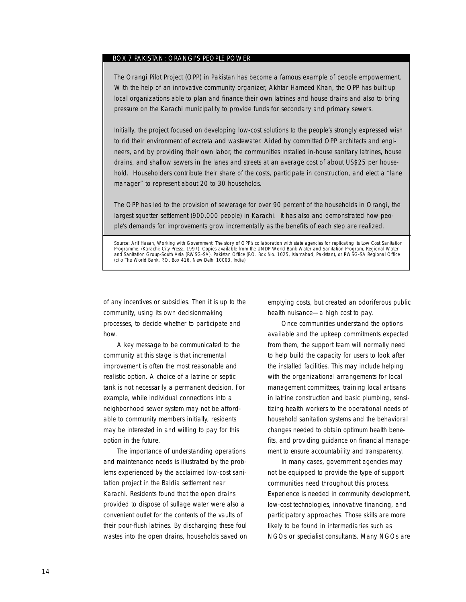## BOX 7 PAKISTAN: ORANGI'S PEOPLE POWER

The Orangi Pilot Project (OPP) in Pakistan has become a famous example of people empowerment. With the help of an innovative community organizer, Akhtar Hameed Khan, the OPP has built up local organizations able to plan and finance their own latrines and house drains and also to bring pressure on the Karachi municipality to provide funds for secondary and primary sewers.

Initially, the project focused on developing low-cost solutions to the people's strongly expressed wish to rid their environment of excreta and wastewater. Aided by committed OPP architects and engineers, and by providing their own labor, the communities installed in-house sanitary latrines, house drains, and shallow sewers in the lanes and streets at an average cost of about US\$25 per household. Householders contribute their share of the costs, participate in construction, and elect a "lane manager" to represent about 20 to 30 households.

The OPP has led to the provision of sewerage for over 90 percent of the households in Orangi, the largest squatter settlement (900,000 people) in Karachi. It has also and demonstrated how people's demands for improvements grow incrementally as the benefits of each step are realized.

*Source:* Arif Hasan, *Working with Government: The story of OPP's collaboration with state agencies for replicating its Low Cost Sanitation Programme.* (Karachi: City Press:, 1997). Copies available from the UNDP-World Bank Water and Sanitation Program, Regional Water and Sanitation Group-South Asia (RWSG-SA), Pakistan Office (P.O. Box No. 1025, Islamabad, Pakistan), or RWSG-SA Regional Office (c/o The World Bank, P.O. Box 416, New Delhi 10003, India).

of any incentives or subsidies. Then it is up to the community, using its own decisionmaking processes, to decide whether to participate and how.

A key message to be communicated to the community at this stage is that incremental improvement is often the most reasonable and realistic option. A choice of a latrine or septic tank is not necessarily a permanent decision. For example, while individual connections into a neighborhood sewer system may not be affordable to community members initially, residents may be interested in and willing to pay for this option in the future.

The importance of understanding operations and maintenance needs is illustrated by the problems experienced by the acclaimed low-cost sanitation project in the Baldia settlement near Karachi. Residents found that the open drains provided to dispose of sullage water were also a convenient outlet for the contents of the vaults of their pour-flush latrines. By discharging these foul wastes into the open drains, households saved on emptying costs, but created an odoriferous public health nuisance—a high cost to pay.

Once communities understand the options available and the upkeep commitments expected from them, the support team will normally need to help build the capacity for users to look after the installed facilities. This may include helping with the organizational arrangements for local management committees, training local artisans in latrine construction and basic plumbing, sensitizing health workers to the operational needs of household sanitation systems and the behavioral changes needed to obtain optimum health benefits, and providing guidance on financial management to ensure accountability and transparency.

In many cases, government agencies may not be equipped to provide the type of support communities need throughout this process. Experience is needed in community development, low-cost technologies, innovative financing, and participatory approaches. Those skills are more likely to be found in intermediaries such as NGOs or specialist consultants. Many NGOs are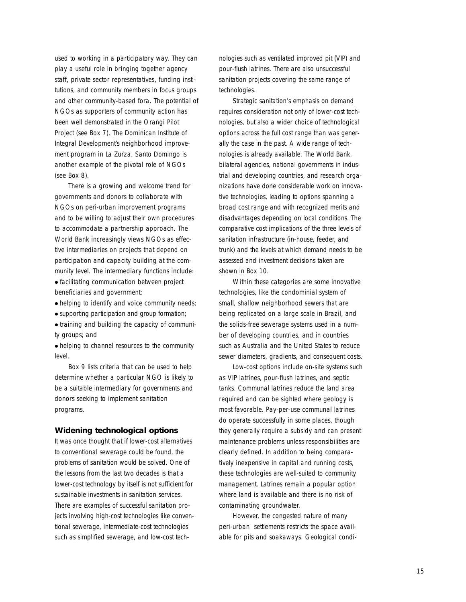used to working in a participatory way. They can play a useful role in bringing together agency staff, private sector representatives, funding institutions, and community members in focus groups and other community-based fora. The potential of NGOs as supporters of community action has been well demonstrated in the Orangi Pilot Project (see Box 7). The Dominican Institute of Integral Development's neighborhood improvement program in La Zurza, Santo Domingo is another example of the pivotal role of NGOs (see Box 8).

There is a growing and welcome trend for governments and donors to collaborate with NGOs on peri-urban improvement programs and to be willing to adjust their own procedures to accommodate a partnership approach. The World Bank increasingly views NGOs as effective intermediaries on projects that depend on participation and capacity building at the community level. The intermediary functions include:

● facilitating communication between project beneficiaries and government;

- helping to identify and voice community needs:
- supporting participation and group formation;

● training and building the capacity of community groups; and

● helping to channel resources to the community level.

Box 9 lists criteria that can be used to help determine whether a particular NGO is likely to be a suitable intermediary for governments and donors seeking to implement sanitation programs.

## **Widening technological options**

It was once thought that if lower-cost alternatives to conventional sewerage could be found, the problems of sanitation would be solved. One of the lessons from the last two decades is that a lower-cost technology by itself is not sufficient for sustainable investments in sanitation services. There are examples of successful sanitation projects involving high-cost technologies like conventional sewerage, intermediate-cost technologies such as simplified sewerage, and low-cost technologies such as ventilated improved pit (VIP) and pour-flush latrines. There are also unsuccessful sanitation projects covering the same range of technologies.

Strategic sanitation's emphasis on demand requires consideration not only of lower-cost technologies, but also a wider choice of technological options across the full cost range than was generally the case in the past. A wide range of technologies is already available. The World Bank, bilateral agencies, national governments in industrial and developing countries, and research organizations have done considerable work on innovative technologies, leading to options spanning a broad cost range and with recognized merits and disadvantages depending on local conditions. The comparative cost implications of the three levels of sanitation infrastructure (in-house, feeder, and trunk) and the levels at which demand needs to be assessed and investment decisions taken are shown in Box 10.

Within these categories are some innovative technologies, like the condominial system of small, shallow neighborhood sewers that are being replicated on a large scale in Brazil, and the solids-free sewerage systems used in a number of developing countries, and in countries such as Australia and the United States to reduce sewer diameters, gradients, and consequent costs.

Low-cost options include on-site systems such as VIP latrines, pour-flush latrines, and septic tanks. Communal latrines reduce the land area required and can be sighted where geology is most favorable. Pay-per-use communal latrines do operate successfully in some places, though they generally require a subsidy and can present maintenance problems unless responsibilities are clearly defined. In addition to being comparatively inexpensive in capital and running costs, these technologies are well-suited to community management. Latrines remain a popular option where land is available and there is no risk of contaminating groundwater.

However, the congested nature of many peri-urban settlements restricts the space available for pits and soakaways. Geological condi-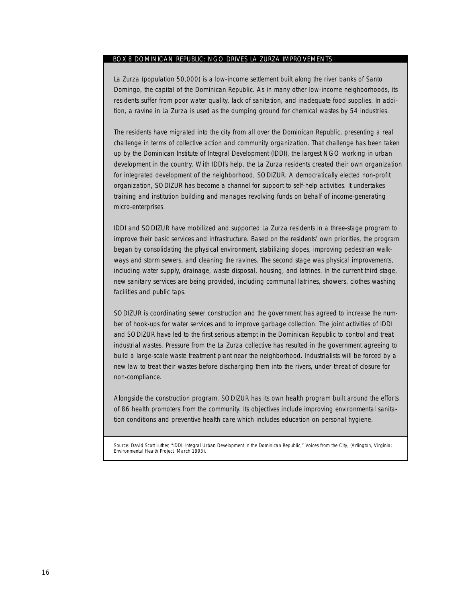## BOX 8 DOMINICAN REPUBLIC: NGO DRIVES LA ZURZA IMPROVEMENTS

La Zurza (population 50,000) is a low-income settlement built along the river banks of Santo Domingo, the capital of the Dominican Republic. As in many other low-income neighborhoods, its residents suffer from poor water quality, lack of sanitation, and inadequate food supplies. In addition, a ravine in La Zurza is used as the dumping ground for chemical wastes by 54 industries.

The residents have migrated into the city from all over the Dominican Republic, presenting a real challenge in terms of collective action and community organization. That challenge has been taken up by the Dominican Institute of Integral Development (IDDI), the largest NGO working in urban development in the country. With IDDI's help, the La Zurza residents created their own organization for integrated development of the neighborhood, SODIZUR. A democratically elected non-profit organization, SODIZUR has become a channel for support to self-help activities. It undertakes training and institution building and manages revolving funds on behalf of income-generating micro-enterprises.

IDDI and SODIZUR have mobilized and supported La Zurza residents in a three-stage program to improve their basic services and infrastructure. Based on the residents' own priorities, the program began by consolidating the physical environment, stabilizing slopes, improving pedestrian walkways and storm sewers, and cleaning the ravines. The second stage was physical improvements, including water supply, drainage, waste disposal, housing, and latrines. In the current third stage, new sanitary services are being provided, including communal latrines, showers, clothes washing facilities and public taps.

SODIZUR is coordinating sewer construction and the government has agreed to increase the number of hook-ups for water services and to improve garbage collection. The joint activities of IDDI and SODIZUR have led to the first serious attempt in the Dominican Republic to control and treat industrial wastes. Pressure from the La Zurza collective has resulted in the government agreeing to build a large-scale waste treatment plant near the neighborhood. Industrialists will be forced by a new law to treat their wastes before discharging them into the rivers, under threat of closure for non-compliance.

Alongside the construction program, SODIZUR has its own health program built around the efforts of 86 health promoters from the community. Its objectives include improving environmental sanitation conditions and preventive health care which includes education on personal hygiene.

Source: David Scott Luther, "IDDI: Integral Urban Development in the Dominican Republic," *Voices from the City*, (Arlington, Virginia: Environmental Health Project March 1993).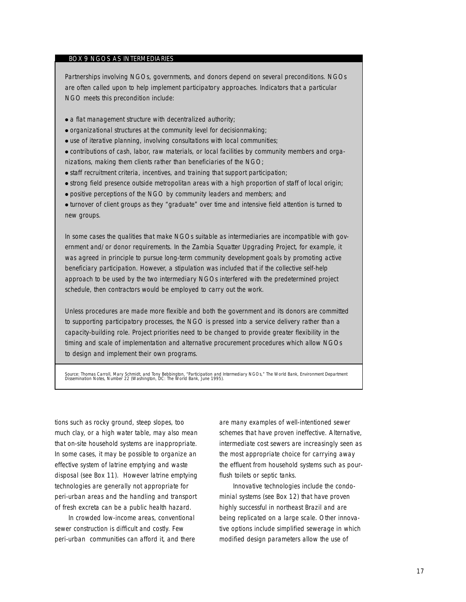## BOX 9 NGOS AS INTERMEDIARIES

Partnerships involving NGOs, governments, and donors depend on several preconditions. NGOs are often called upon to help implement participatory approaches. Indicators that a particular NGO meets this precondition include:

- a flat management structure with decentralized authority;
- organizational structures at the community level for decisionmaking;
- use of iterative planning, involving consultations with local communities;
- contributions of cash, labor, raw materials, or local facilities by community members and organizations, making them clients rather than beneficiaries of the NGO;
- staff recruitment criteria, incentives, and training that support participation;
- strong field presence outside metropolitan areas with a high proportion of staff of local origin;
- positive perceptions of the NGO by community leaders and members; and
- turnover of client groups as they "graduate" over time and intensive field attention is turned to new groups.

In some cases the qualities that make NGOs suitable as intermediaries are incompatible with government and/or donor requirements. In the Zambia Squatter Upgrading Project, for example, it was agreed in principle to pursue long-term community development goals by promoting active beneficiary participation. However, a stipulation was included that if the collective self-help approach to be used by the two intermediary NGOs interfered with the predetermined project schedule, then contractors would be employed to carry out the work.

Unless procedures are made more flexible and both the government and its donors are committed to supporting participatory processes, the NGO is pressed into a service delivery rather than a capacity-building role. Project priorities need to be changed to provide greater flexibility in the timing and scale of implementation and alternative procurement procedures which allow NGOs to design and implement their own programs.

Source: Thomas Carroll, Mary Schmidt, and Tony Bebbington, "Participation and Intermediary NGOs," The World Bank, Environment Department<br>Dissemination Notes, Number 22 (Washington, DC: The World Bank, June 1995).

tions such as rocky ground, steep slopes, too much clay, or a high water table, may also mean that on-site household systems are inappropriate. In some cases, it may be possible to organize an effective system of latrine emptying and waste disposal (see Box 11). However latrine emptying technologies are generally not appropriate for peri-urban areas and the handling and transport of fresh excreta can be a public health hazard.

In crowded low-income areas, conventional sewer construction is difficult and costly. Few peri-urban communities can afford it, and there are many examples of well-intentioned sewer schemes that have proven ineffective. Alternative, intermediate cost sewers are increasingly seen as the most appropriate choice for carrying away the effluent from household systems such as pourflush toilets or septic tanks.

Innovative technologies include the condominial systems (see Box 12) that have proven highly successful in northeast Brazil and are being replicated on a large scale. Other innovative options include simplified sewerage in which modified design parameters allow the use of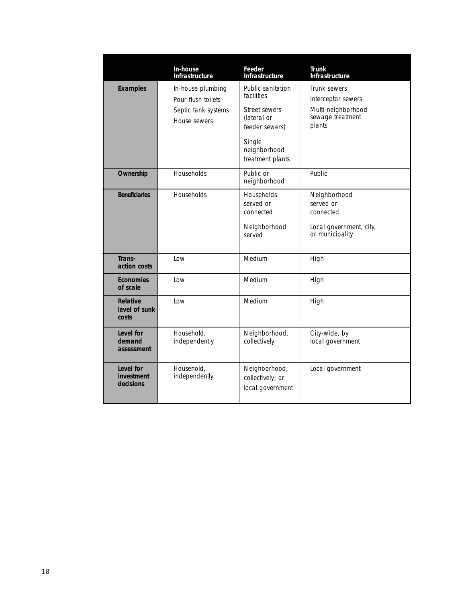|                                           | In-house<br><b>Infrastructure</b>                                              | Feeder<br>Infrastructure                                                                                                        | <b>Trunk</b><br><b>Infrastructure</b>                                                  |
|-------------------------------------------|--------------------------------------------------------------------------------|---------------------------------------------------------------------------------------------------------------------------------|----------------------------------------------------------------------------------------|
| <b>Examples</b>                           | In-house plumbing<br>Pour-flush toilets<br>Septic tank systems<br>House sewers | Public sanitation<br>facilities<br>Street sewers<br>(lateral or<br>feeder sewers)<br>Single<br>neighborhood<br>treatment plants | Trunk sewers<br>Interceptor sewers<br>Multi-neighborhood<br>sewage treatment<br>plants |
| Ownership                                 | Households                                                                     | Public or<br>neighborhood                                                                                                       | Public                                                                                 |
| <b>Beneficiaries</b>                      | <b>Households</b>                                                              | <b>Households</b><br>served or<br>connected<br>Neighborhood<br>served                                                           | Neighborhood<br>served or<br>connected<br>Local government, city,<br>or municipality   |
| Trans-<br>action costs                    | Low                                                                            | Medium                                                                                                                          | High                                                                                   |
| <b>Economies</b><br>of scale              | Low                                                                            | Medium                                                                                                                          | High                                                                                   |
| <b>Relative</b><br>level of sunk<br>costs | Low                                                                            | Medium                                                                                                                          | High                                                                                   |
| Level for<br>demand<br>assessment         | Household,<br>independently                                                    | Neighborhood,<br>collectively                                                                                                   | City-wide, by<br>local government                                                      |
| Level for<br>investment<br>decisions      | Household.<br>independently                                                    | Neighborhood,<br>collectively; or<br>local government                                                                           | Local government                                                                       |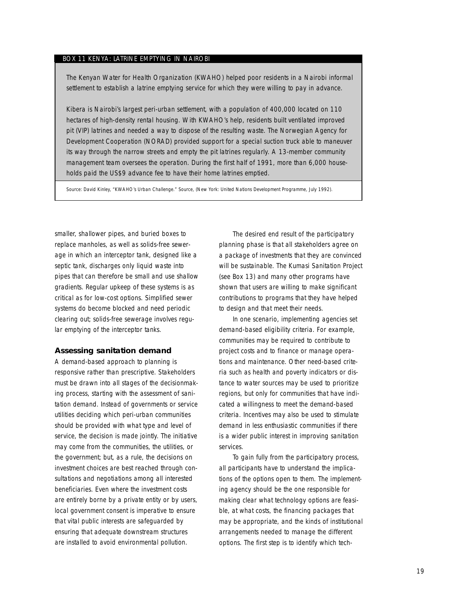### BOX 11 KENYA: LATRINE EMPTYING IN NAIROBI

The Kenyan Water for Health Organization (KWAHO) helped poor residents in a Nairobi informal settlement to establish a latrine emptying service for which they were willing to pay in advance.

Kibera is Nairobi's largest peri-urban settlement, with a population of 400,000 located on 110 hectares of high-density rental housing. With KWAHO's help, residents built ventilated improved pit (VIP) latrines and needed a way to dispose of the resulting waste. The Norwegian Agency for Development Cooperation (NORAD) provided support for a special suction truck able to maneuver its way through the narrow streets and empty the pit latrines regularly. A 13-member community management team oversees the operation. During the first half of 1991, more than 6,000 households paid the US\$9 advance fee to have their home latrines emptied.

Source: David Kinley, "KWAHO's Urban Challenge." *Source*, (New York: United Nations Development Programme, July 1992).

smaller, shallower pipes, and buried boxes to replace manholes, as well as solids-free sewerage in which an interceptor tank, designed like a septic tank, discharges only liquid waste into pipes that can therefore be small and use shallow gradients. Regular upkeep of these systems is as critical as for low-cost options. Simplified sewer systems do become blocked and need periodic clearing out; solids-free sewerage involves regular emptying of the interceptor tanks.

## **Assessing sanitation demand**

A demand-based approach to planning is responsive rather than prescriptive. Stakeholders must be drawn into all stages of the decisionmaking process, starting with the assessment of sanitation demand. Instead of governments or service utilities deciding which peri-urban communities should be provided with what type and level of service, the decision is made jointly. The initiative may come from the communities, the utilities, or the government; but, as a rule, the decisions on investment choices are best reached through consultations and negotiations among all interested beneficiaries. Even where the investment costs are entirely borne by a private entity or by users, local government consent is imperative to ensure that vital public interests are safeguarded by ensuring that adequate downstream structures are installed to avoid environmental pollution.

The desired end result of the participatory planning phase is that all stakeholders agree on a package of investments that they are convinced will be sustainable. The Kumasi Sanitation Project (see Box 13) and many other programs have shown that users are willing to make significant contributions to programs that they have helped to design and that meet their needs.

In one scenario, implementing agencies set demand-based eligibility criteria. For example, communities may be required to contribute to project costs and to finance or manage operations and maintenance. Other need-based criteria such as health and poverty indicators or distance to water sources may be used to prioritize regions, but only for communities that have indicated a willingness to meet the demand-based criteria. Incentives may also be used to stimulate demand in less enthusiastic communities if there is a wider public interest in improving sanitation services.

To gain fully from the participatory process, all participants have to understand the implications of the options open to them. The implementing agency should be the one responsible for making clear what technology options are feasible, at what costs, the financing packages that may be appropriate, and the kinds of institutional arrangements needed to manage the different options. The first step is to identify which tech-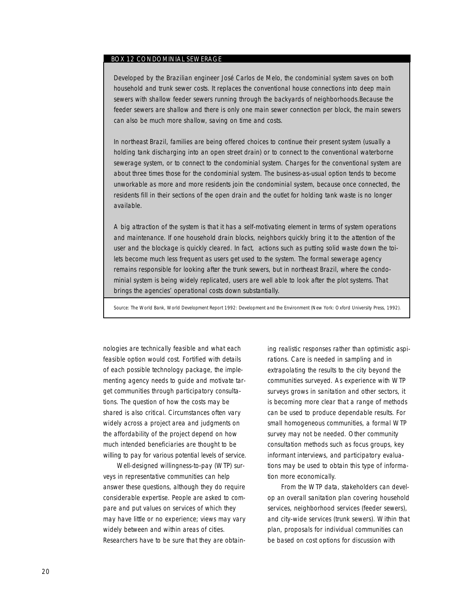## BOX 12 CONDOMINIAL SEWERAGE

Developed by the Brazilian engineer José Carlos de Melo, the condominial system saves on both household and trunk sewer costs. It replaces the conventional house connections into deep main sewers with shallow feeder sewers running through the backyards of neighborhoods.Because the feeder sewers are shallow and there is only one main sewer connection per block, the main sewers can also be much more shallow, saving on time and costs.

In northeast Brazil, families are being offered choices to continue their present system (usually a holding tank discharging into an open street drain) or to connect to the conventional waterborne sewerage system, or to connect to the condominial system. Charges for the conventional system are about three times those for the condominial system. The business-as-usual option tends to become unworkable as more and more residents join the condominial system, because once connected, the residents fill in their sections of the open drain and the outlet for holding tank waste is no longer available.

A big attraction of the system is that it has a self-motivating element in terms of system operations and maintenance. If one household drain blocks, neighbors quickly bring it to the attention of the user and the blockage is quickly cleared. In fact, actions such as putting solid waste down the toilets become much less frequent as users get used to the system. The formal sewerage agency remains responsible for looking after the trunk sewers, but in northeast Brazil, where the condominial system is being widely replicated, users are well able to look after the plot systems. That brings the agencies' operational costs down substantially.

Source: The World Bank, World Development Report 1992: Development and the Environment (New York: Oxford University Press, 1992).

nologies are technically feasible and what each feasible option would cost. Fortified with details of each possible technology package, the implementing agency needs to guide and motivate target communities through participatory consultations. The question of how the costs may be shared is also critical. Circumstances often vary widely across a project area and judgments on the affordability of the project depend on how much intended beneficiaries are thought to be willing to pay for various potential levels of service.

Well-designed willingness-to-pay (WTP) surveys in representative communities can help answer these questions, although they do require considerable expertise. People are asked to compare and put values on services of which they may have little or no experience; views may vary widely between and within areas of cities. Researchers have to be sure that they are obtaining realistic responses rather than optimistic aspirations. Care is needed in sampling and in extrapolating the results to the city beyond the communities surveyed. As experience with WTP surveys grows in sanitation and other sectors, it is becoming more clear that a range of methods can be used to produce dependable results. For small homogeneous communities, a formal WTP survey may not be needed. Other community consultation methods such as focus groups, key informant interviews, and participatory evaluations may be used to obtain this type of information more economically.

From the WTP data, stakeholders can develop an overall sanitation plan covering household services, neighborhood services (feeder sewers), and city-wide services (trunk sewers). Within that plan, proposals for individual communities can be based on cost options for discussion with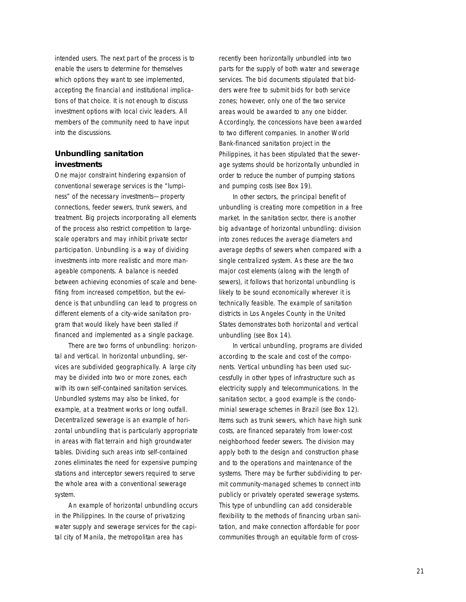intended users. The next part of the process is to enable the users to determine for themselves which options they want to see implemented, accepting the financial and institutional implications of that choice. It is not enough to discuss investment options with local civic leaders. All members of the community need to have input into the discussions.

## **Unbundling sanitation investments**

One major constraint hindering expansion of conventional sewerage services is the "lumpiness" of the necessary investments—property connections, feeder sewers, trunk sewers, and treatment. Big projects incorporating all elements of the process also restrict competition to largescale operators and may inhibit private sector participation. Unbundling is a way of dividing investments into more realistic and more manageable components. A balance is needed between achieving economies of scale and benefiting from increased competition, but the evidence is that unbundling can lead to progress on different elements of a city-wide sanitation program that would likely have been stalled if financed and implemented as a single package.

There are two forms of unbundling: horizontal and vertical. In horizontal unbundling, services are subdivided geographically. A large city may be divided into two or more zones, each with its own self-contained sanitation services. Unbundled systems may also be linked, for example, at a treatment works or long outfall. Decentralized sewerage is an example of horizontal unbundling that is particularly appropriate in areas with flat terrain and high groundwater tables. Dividing such areas into self-contained zones eliminates the need for expensive pumping stations and interceptor sewers required to serve the whole area with a conventional sewerage system.

An example of horizontal unbundling occurs in the Philippines. In the course of privatizing water supply and sewerage services for the capital city of Manila, the metropolitan area has

recently been horizontally unbundled into two parts for the supply of both water and sewerage services. The bid documents stipulated that bidders were free to submit bids for both service zones; however, only one of the two service areas would be awarded to any one bidder. Accordingly, the concessions have been awarded to two different companies. In another World Bank-financed sanitation project in the Philippines, it has been stipulated that the sewerage systems should be horizontally unbundled in order to reduce the number of pumping stations and pumping costs (see Box 19).

In other sectors, the principal benefit of unbundling is creating more competition in a free market. In the sanitation sector, there is another big advantage of horizontal unbundling: division into zones reduces the average diameters and average depths of sewers when compared with a single centralized system. As these are the two major cost elements (along with the length of sewers), it follows that horizontal unbundling is likely to be sound economically wherever it is technically feasible. The example of sanitation districts in Los Angeles County in the United States demonstrates both horizontal and vertical unbundling (see Box 14).

In vertical unbundling, programs are divided according to the scale and cost of the components. Vertical unbundling has been used successfully in other types of infrastructure such as electricity supply and telecommunications. In the sanitation sector, a good example is the condominial sewerage schemes in Brazil (see Box 12). Items such as trunk sewers, which have high sunk costs, are financed separately from lower-cost neighborhood feeder sewers. The division may apply both to the design and construction phase and to the operations and maintenance of the systems. There may be further subdividing to permit community-managed schemes to connect into publicly or privately operated sewerage systems. This type of unbundling can add considerable flexibility to the methods of financing urban sanitation, and make connection affordable for poor communities through an equitable form of cross-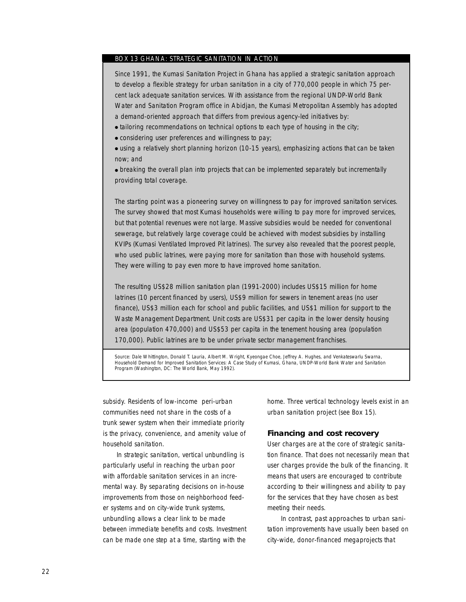## BOX 13 GHANA: STRATEGIC SANITATION IN ACTION

Since 1991, the Kumasi Sanitation Project in Ghana has applied a strategic sanitation approach to develop a flexible strategy for urban sanitation in a city of 770,000 people in which 75 percent lack adequate sanitation services. With assistance from the regional UNDP-World Bank Water and Sanitation Program office in Abidjan, the Kumasi Metropolitan Assembly has adopted a demand-oriented approach that differs from previous agency-led initiatives by:

• tailoring recommendations on technical options to each type of housing in the city;

● considering user preferences and willingness to pay;

• using a relatively short planning horizon (10-15 years), emphasizing actions that can be taken now; and

• breaking the overall plan into projects that can be implemented separately but incrementally providing total coverage.

The starting point was a pioneering survey on willingness to pay for improved sanitation services. The survey showed that most Kumasi households were willing to pay more for improved services, but that potential revenues were not large. Massive subsidies would be needed for conventional sewerage, but relatively large coverage could be achieved with modest subsidies by installing KVIPs (Kumasi Ventilated Improved Pit latrines). The survey also revealed that the poorest people, who used public latrines, were paying more for sanitation than those with household systems. They were willing to pay even more to have improved home sanitation.

The resulting US\$28 million sanitation plan (1991-2000) includes US\$15 million for home latrines (10 percent financed by users), US\$9 million for sewers in tenement areas (no user finance), US\$3 million each for school and public facilities, and US\$1 million for support to the Waste Management Department. Unit costs are US\$31 per capita in the lower density housing area (population 470,000) and US\$53 per capita in the tenement housing area (population 170,000). Public latrines are to be under private sector management franchises.

Source: Dale Whittington, Donald T. Lauria, Albert M. Wright, Kyeongae Choe, Jeffrey A. Hughes, and Venkateswarlu Swarna, *Household Demand for Improved Sanitation Services: A Case Study of Kumasi, Ghana,* UNDP-World Bank Water and Sanitation Program (Washington, DC: The World Bank, May 1992).

subsidy. Residents of low-income peri-urban communities need not share in the costs of a trunk sewer system when their immediate priority is the privacy, convenience, and amenity value of household sanitation.

In strategic sanitation, vertical unbundling is particularly useful in reaching the urban poor with affordable sanitation services in an incremental way. By separating decisions on in-house improvements from those on neighborhood feeder systems and on city-wide trunk systems, unbundling allows a clear link to be made between immediate benefits and costs. Investment can be made one step at a time, starting with the home. Three vertical technology levels exist in an urban sanitation project (see Box 15).

### **Financing and cost recovery**

User charges are at the core of strategic sanitation finance. That does not necessarily mean that user charges provide the bulk of the financing. It means that users are encouraged to contribute according to their willingness and ability to pay for the services that they have chosen as best meeting their needs.

In contrast, past approaches to urban sanitation improvements have usually been based on city-wide, donor-financed megaprojects that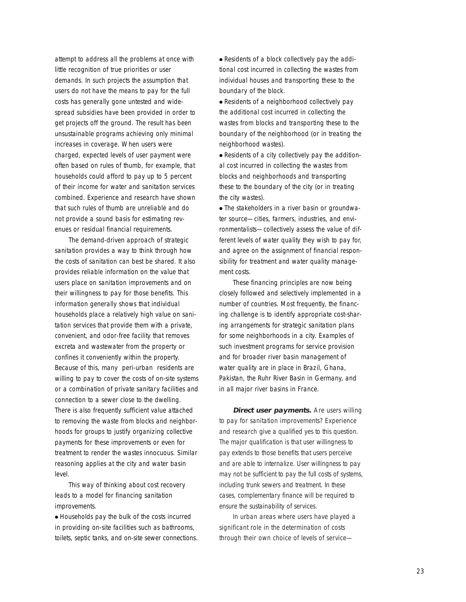attempt to address all the problems at once with little recognition of true priorities or user demands. In such projects the assumption that users do not have the means to pay for the full costs has generally gone untested and widespread subsidies have been provided in order to get projects off the ground. The result has been unsustainable programs achieving only minimal increases in coverage. When users were charged, expected levels of user payment were often based on rules of thumb, for example, that households could afford to pay up to 5 percent of their income for water and sanitation services combined. Experience and research have shown that such rules of thumb are unreliable and do not provide a sound basis for estimating revenues or residual financial requirements.

The demand-driven approach of strategic sanitation provides a way to think through how the costs of sanitation can best be shared. It also provides reliable information on the value that users place on sanitation improvements and on their willingness to pay for those benefits. This information generally shows that individual households place a relatively high value on sanitation services that provide them with a private, convenient, and odor-free facility that removes excreta and wastewater from the property or confines it conveniently within the property. Because of this, many peri-urban residents are willing to pay to cover the costs of on-site systems or a combination of private sanitary facilities and connection to a sewer close to the dwelling. There is also frequently sufficient value attached to removing the waste from blocks and neighborhoods for groups to justify organizing collective payments for these improvements or even for treatment to render the wastes innocuous. Similar reasoning applies at the city and water basin level.

This way of thinking about cost recovery leads to a model for financing sanitation improvements.

● Households pay the bulk of the costs incurred in providing on-site facilities such as bathrooms, toilets, septic tanks, and on-site sewer connections. ● Residents of a block collectively pay the additional cost incurred in collecting the wastes from individual houses and transporting these to the boundary of the block.

● Residents of a neighborhood collectively pay the additional cost incurred in collecting the wastes from blocks and transporting these to the boundary of the neighborhood (or in treating the neighborhood wastes).

• Residents of a city collectively pay the additional cost incurred in collecting the wastes from blocks and neighborhoods and transporting these to the boundary of the city (or in treating the city wastes).

• The stakeholders in a river basin or groundwater source—cities, farmers, industries, and environmentalists—collectively assess the value of different levels of water quality they wish to pay for, and agree on the assignment of financial responsibility for treatment and water quality management costs.

These financing principles are now being closely followed and selectively implemented in a number of countries. Most frequently, the financing challenge is to identify appropriate cost-sharing arrangements for strategic sanitation plans for some neighborhoods in a city. Examples of such investment programs for service provision and for broader river basin management of water quality are in place in Brazil, Ghana, Pakistan, the Ruhr River Basin in Germany, and in all major river basins in France.

**Direct user payments.** Are users willing to pay for sanitation improvements? Experience and research give a qualified yes to this question. The major qualification is that user willingness to pay extends to those benefits that users perceive and are able to internalize. User willingness to pay may not be sufficient to pay the full costs of systems, including trunk sewers and treatment. In these cases, complementary finance will be required to ensure the sustainability of services.

In urban areas where users have played a significant role in the determination of costs through their own choice of levels of service—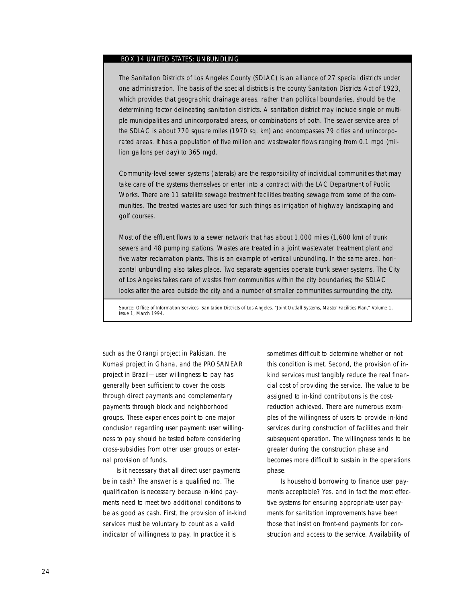## BOX 14 UNITED STATES: UNBUNDLING

The Sanitation Districts of Los Angeles County (SDLAC) is an alliance of 27 special districts under one administration. The basis of the special districts is the county Sanitation Districts Act of 1923, which provides that geographic drainage areas, rather than political boundaries, should be the determining factor delineating sanitation districts. A sanitation district may include single or multiple municipalities and unincorporated areas, or combinations of both. The sewer service area of the SDLAC is about 770 square miles (1970 sq. km) and encompasses 79 cities and unincorporated areas. It has a population of five million and wastewater flows ranging from 0.1 mgd (million gallons per day) to 365 mgd.

Community-level sewer systems (laterals) are the responsibility of individual communities that may take care of the systems themselves or enter into a contract with the LAC Department of Public Works. There are 11 satellite sewage treatment facilities treating sewage from some of the communities. The treated wastes are used for such things as irrigation of highway landscaping and golf courses.

Most of the effluent flows to a sewer network that has about 1,000 miles (1,600 km) of trunk sewers and 48 pumping stations. Wastes are treated in a joint wastewater treatment plant and five water reclamation plants. This is an example of vertical unbundling. In the same area, horizontal unbundling also takes place. Two separate agencies operate trunk sewer systems. The City of Los Angeles takes care of wastes from communities within the city boundaries; the SDLAC looks after the area outside the city and a number of smaller communities surrounding the city.

Source: Office of Information Services, Sanitation Districts of Los Angeles, "Joint Outfall Systems, Master Facilities Plan," Volume 1, Issue 1, March 1994.

such as the Orangi project in Pakistan, the Kumasi project in Ghana, and the PROSANEAR project in Brazil—user willingness to pay has generally been sufficient to cover the costs through direct payments and complementary payments through block and neighborhood groups. These experiences point to one major conclusion regarding user payment: user willingness to pay should be tested before considering cross-subsidies from other user groups or external provision of funds.

Is it necessary that all direct user payments be in cash? The answer is a qualified no. The qualification is necessary because in-kind payments need to meet two additional conditions to be as good as cash. First, the provision of in-kind services must be voluntary to count as a valid indicator of willingness to pay. In practice it is

sometimes difficult to determine whether or not this condition is met. Second, the provision of inkind services must tangibly reduce the real financial cost of providing the service. The value to be assigned to in-kind contributions is the costreduction achieved. There are numerous examples of the willingness of users to provide in-kind services during construction of facilities and their subsequent operation. The willingness tends to be greater during the construction phase and becomes more difficult to sustain in the operations phase.

Is household borrowing to finance user payments acceptable? Yes, and in fact the most effective systems for ensuring appropriate user payments for sanitation improvements have been those that insist on front-end payments for construction and access to the service. Availability of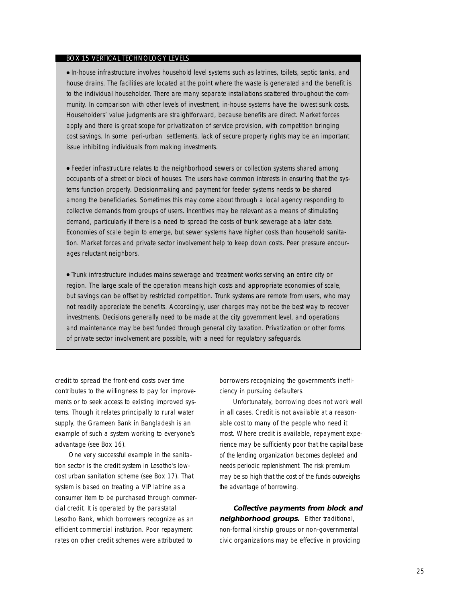## BOX 15 VERTICAL TECHNOLOGY LEVELS

● In-house infrastructure involves household level systems such as latrines, toilets, septic tanks, and house drains. The facilities are located at the point where the waste is generated and the benefit is to the individual householder. There are many separate installations scattered throughout the community. In comparison with other levels of investment, in-house systems have the lowest sunk costs. Householders' value judgments are straightforward, because benefits are direct. Market forces apply and there is great scope for privatization of service provision, with competition bringing cost savings. In some peri-urban settlements, lack of secure property rights may be an important issue inhibiting individuals from making investments.

● Feeder infrastructure relates to the neighborhood sewers or collection systems shared among occupants of a street or block of houses. The users have common interests in ensuring that the systems function properly. Decisionmaking and payment for feeder systems needs to be shared among the beneficiaries. Sometimes this may come about through a local agency responding to collective demands from groups of users. Incentives may be relevant as a means of stimulating demand, particularly if there is a need to spread the costs of trunk sewerage at a later date. Economies of scale begin to emerge, but sewer systems have higher costs than household sanitation. Market forces and private sector involvement help to keep down costs. Peer pressure encourages reluctant neighbors.

● Trunk infrastructure includes mains sewerage and treatment works serving an entire city or region. The large scale of the operation means high costs and appropriate economies of scale, but savings can be offset by restricted competition. Trunk systems are remote from users, who may not readily appreciate the benefits. Accordingly, user charges may not be the best way to recover investments. Decisions generally need to be made at the city government level, and operations and maintenance may be best funded through general city taxation. Privatization or other forms of private sector involvement are possible, with a need for regulatory safeguards.

credit to spread the front-end costs over time contributes to the willingness to pay for improvements or to seek access to existing improved systems. Though it relates principally to rural water supply, the Grameen Bank in Bangladesh is an example of such a system working to everyone's advantage (see Box 16).

One very successful example in the sanitation sector is the credit system in Lesotho's lowcost urban sanitation scheme (see Box 17). That system is based on treating a VIP latrine as a consumer item to be purchased through commercial credit. It is operated by the parastatal Lesotho Bank, which borrowers recognize as an efficient commercial institution. Poor repayment rates on other credit schemes were attributed to

borrowers recognizing the government's inefficiency in pursuing defaulters.

Unfortunately, borrowing does not work well in all cases. Credit is not available at a reasonable cost to many of the people who need it most. Where credit is available, repayment experience may be sufficiently poor that the capital base of the lending organization becomes depleted and needs periodic replenishment. The risk premium may be so high that the cost of the funds outweighs the advantage of borrowing.

**Collective payments from block and neighborhood groups.** Either traditional, non-formal kinship groups or non-governmental civic organizations may be effective in providing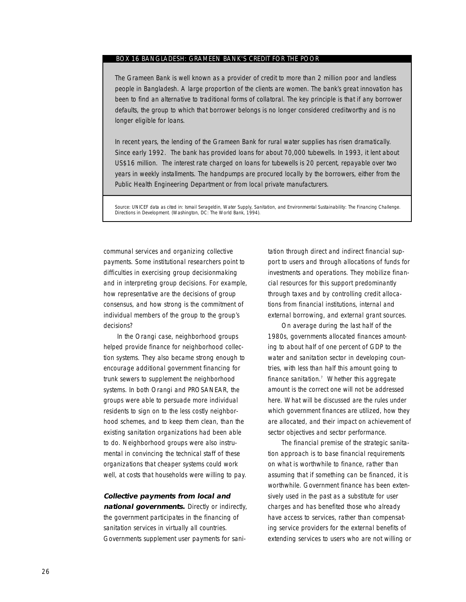#### BOX 16 BANGLADESH: GRAMEEN BANK'S CREDIT FOR THE POOR

The Grameen Bank is well known as a provider of credit to more than 2 million poor and landless people in Bangladesh. A large proportion of the clients are women. The bank's great innovation has been to find an alternative to traditional forms of collatoral. The key principle is that if any borrower defaults, the group to which that borrower belongs is no longer considered creditworthy and is no longer eligible for loans.

In recent years, the lending of the Grameen Bank for rural water supplies has risen dramatically. Since early 1992. The bank has provided loans for about 70,000 tubewells. In 1993, it lent about US\$16 million. The interest rate charged on loans for tubewells is 20 percent, repayable over two years in weekly installments. The handpumps are procured locally by the borrowers, either from the Public Health Engineering Department or from local private manufacturers.

Source: UNICEF data as cited in: Ismail Serageldin, *Water Supply, Sanitation, and Environmental Sustainability: The Financing Challenge.* Directions in Development. (Washington, DC: The World Bank, 1994).

communal services and organizing collective payments. Some institutional researchers point to difficulties in exercising group decisionmaking and in interpreting group decisions. For example, how representative are the decisions of group consensus, and how strong is the commitment of individual members of the group to the group's decisions?

In the Orangi case, neighborhood groups helped provide finance for neighborhood collection systems. They also became strong enough to encourage additional government financing for trunk sewers to supplement the neighborhood systems. In both Orangi and PROSANEAR, the groups were able to persuade more individual residents to sign on to the less costly neighborhood schemes, and to keep them clean, than the existing sanitation organizations had been able to do. Neighborhood groups were also instrumental in convincing the technical staff of these organizations that cheaper systems could work well, at costs that households were willing to pay.

**Collective payments from local and national governments.** Directly or indirectly, the government participates in the financing of sanitation services in virtually all countries. Governments supplement user payments for sanitation through direct and indirect financial support to users and through allocations of funds for investments and operations. They mobilize financial resources for this support predominantly through taxes and by controlling credit allocations from financial institutions, internal and external borrowing, and external grant sources.

On average during the last half of the 1980s, governments allocated finances amounting to about half of one percent of GDP to the water and sanitation sector in developing countries, with less than half this amount going to finance sanitation.<sup>7</sup> Whether this aggregate amount is the correct one will not be addressed here. What will be discussed are the rules under which government finances are utilized, how they are allocated, and their impact on achievement of sector objectives and sector performance.

The financial premise of the strategic sanitation approach is to base financial requirements on what is worthwhile to finance, rather than assuming that if something can be financed, it is worthwhile. Government finance has been extensively used in the past as a substitute for user charges and has benefited those who already have access to services, rather than compensating service providers for the external benefits of extending services to users who are not willing or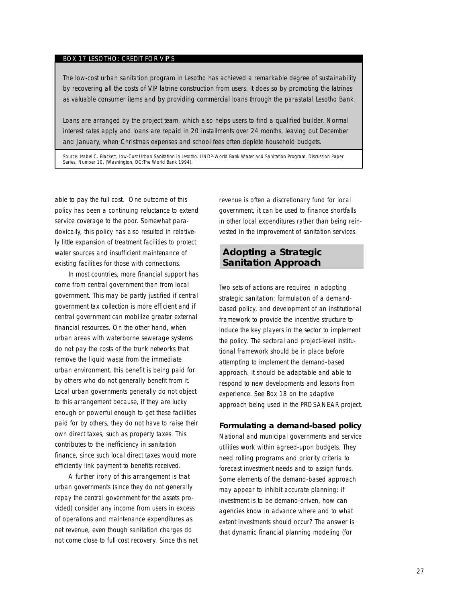## BOX 17 LESOTHO: CREDIT FOR VIP'S

The low-cost urban sanitation program in Lesotho has achieved a remarkable degree of sustainability by recovering all the costs of VIP latrine construction from users. It does so by promoting the latrines as valuable consumer items and by providing commercial loans through the parastatal Lesotho Bank.

Loans are arranged by the project team, which also helps users to find a qualified builder. Normal interest rates apply and loans are repaid in 20 installments over 24 months, leaving out December and January, when Christmas expenses and school fees often deplete household budgets.

Source: Isabel C. Blackett, *Low-Cost Urban Sanitation in Lesotho*. UNDP-World Bank Water and Sanitation Program, Discussion Paper Series, Number 10, (Washington, DC:The World Bank 1994).

able to pay the full cost. One outcome of this policy has been a continuing reluctance to extend service coverage to the poor. Somewhat paradoxically, this policy has also resulted in relatively little expansion of treatment facilities to protect water sources and insufficient maintenance of existing facilities for those with connections.

In most countries, more financial support has come from central government than from local government. This may be partly justified if central government tax collection is more efficient and if central government can mobilize greater external financial resources. On the other hand, when urban areas with waterborne sewerage systems do not pay the costs of the trunk networks that remove the liquid waste from the immediate urban environment, this benefit is being paid for by others who do not generally benefit from it. Local urban governments generally do not object to this arrangement because, if they are lucky enough or powerful enough to get these facilities paid for by others, they do not have to raise their own direct taxes, such as property taxes. This contributes to the inefficiency in sanitation finance, since such local direct taxes would more efficiently link payment to benefits received.

A further irony of this arrangement is that urban governments (since they do not generally repay the central government for the assets provided) consider any income from users in excess of operations and maintenance expenditures as net revenue, even though sanitation charges do not come close to full cost recovery. Since this net revenue is often a discretionary fund for local government, it can be used to finance shortfalls in other local expenditures rather than being reinvested in the improvement of sanitation services.

## **Adopting a Strategic Sanitation Approach**

Two sets of actions are required in adopting strategic sanitation: formulation of a demandbased policy, and development of an institutional framework to provide the incentive structure to induce the key players in the sector to implement the policy. The sectoral and project-level institutional framework should be in place before attempting to implement the demand-based approach. It should be adaptable and able to respond to new developments and lessons from experience. See Box 18 on the adaptive approach being used in the PROSANEAR project.

### **Formulating a demand-based policy**

National and municipal governments and service utilities work within agreed-upon budgets. They need rolling programs and priority criteria to forecast investment needs and to assign funds. Some elements of the demand-based approach may appear to inhibit accurate planning: if investment is to be demand-driven, how can agencies know in advance where and to what extent investments should occur? The answer is that dynamic financial planning modeling (for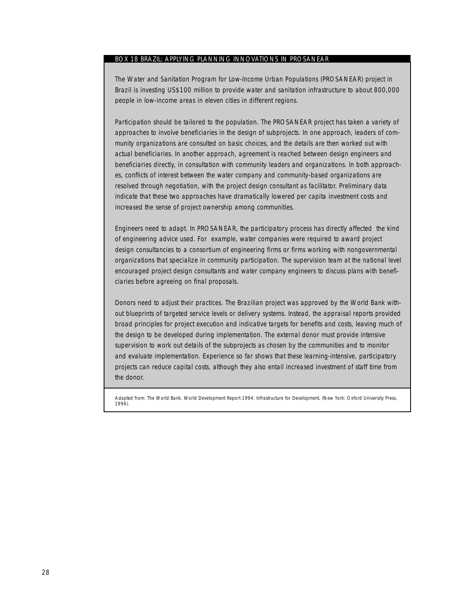## BOX 18 BRAZIL: APPLYING PLANNING INNOVATIONS IN PROSANEAR

The Water and Sanitation Program for Low-Income Urban Populations (PROSANEAR) project in Brazil is investing US\$100 million to provide water and sanitation infrastructure to about 800,000 people in low-income areas in eleven cities in different regions.

Participation should be tailored to the population. The PROSANEAR project has taken a variety of approaches to involve beneficiaries in the design of subprojects. In one approach, leaders of community organizations are consulted on basic choices, and the details are then worked out with actual beneficiaries. In another approach, agreement is reached between design engineers and beneficiaries directly, in consultation with community leaders and organizations. In both approaches, conflicts of interest between the water company and community-based organizations are resolved through negotiation, with the project design consultant as facilitator. Preliminary data indicate that these two approaches have dramatically lowered per capita investment costs and increased the sense of project ownership among communities.

Engineers need to adapt. In PROSANEAR, the participatory process has directly affected the kind of engineering advice used. For example, water companies were required to award project design consultancies to a consortium of engineering firms or firms working with nongovernmental organizations that specialize in community participation. The supervision team at the national level encouraged project design consultants and water company engineers to discuss plans with beneficiaries before agreeing on final proposals.

Donors need to adjust their practices. The Brazilian project was approved by the World Bank without blueprints of targeted service levels or delivery systems. Instead, the appraisal reports provided broad principles for project execution and indicative targets for benefits and costs, leaving much of the design to be developed during implementation. The external donor must provide intensive supervision to work out details of the subprojects as chosen by the communities and to monitor and evaluate implementation. Experience so far shows that these learning-intensive, participatory projects can reduce capital costs, although they also entail increased investment of staff time from the donor.

Adapted from: The World Bank, *World Development Report 1994: Infrastructure for Development*, (New York: Oxford University Press, 1994).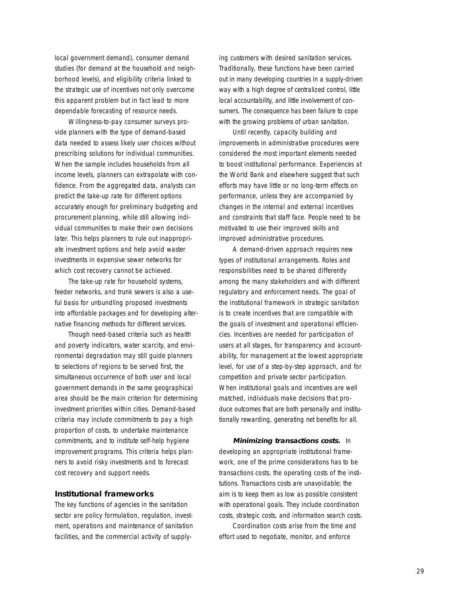local government demand), consumer demand studies (for demand at the household and neighborhood levels), and eligibility criteria linked to the strategic use of incentives not only overcome this apparent problem but in fact lead to more dependable forecasting of resource needs.

Willingness-to-pay consumer surveys provide planners with the type of demand-based data needed to assess likely user choices without prescribing solutions for individual communities. When the sample includes households from all income levels, planners can extrapolate with confidence. From the aggregated data, analysts can predict the take-up rate for different options accurately enough for preliminary budgeting and procurement planning, while still allowing individual communities to make their own decisions later. This helps planners to rule out inappropriate investment options and help avoid waster investments in expensive sewer networks for which cost recovery cannot be achieved.

The take-up rate for household systems, feeder networks, and trunk sewers is also a useful basis for unbundling proposed investments into affordable packages and for developing alternative financing methods for different services.

Though need-based criteria such as health and poverty indicators, water scarcity, and environmental degradation may still guide planners to selections of regions to be served first, the simultaneous occurrence of both user and local government demands in the same geographical area should be the main criterion for determining investment priorities within cities. Demand-based criteria may include commitments to pay a high proportion of costs, to undertake maintenance commitments, and to institute self-help hygiene improvement programs. This criteria helps planners to avoid risky investments and to forecast cost recovery and support needs.

## **Institutional frameworks**

The key functions of agencies in the sanitation sector are policy formulation, regulation, investment, operations and maintenance of sanitation facilities, and the commercial activity of supplying customers with desired sanitation services. Traditionally, these functions have been carried out in many developing countries in a supply-driven way with a high degree of centralized control, little local accountability, and little involvement of consumers. The consequence has been failure to cope with the growing problems of urban sanitation.

Until recently, capacity building and improvements in administrative procedures were considered the most important elements needed to boost institutional performance. Experiences at the World Bank and elsewhere suggest that such efforts may have little or no long-term effects on performance, unless they are accompanied by changes in the internal and external incentives and constraints that staff face. People need to be motivated to use their improved skills and improved administrative procedures.

A demand-driven approach requires new types of institutional arrangements. Roles and responsibilities need to be shared differently among the many stakeholders and with different regulatory and enforcement needs. The goal of the institutional framework in strategic sanitation is to create incentives that are compatible with the goals of investment and operational efficiencies. Incentives are needed for participation of users at all stages, for transparency and accountability, for management at the lowest appropriate level, for use of a step-by-step approach, and for competition and private sector participation. When institutional goals and incentives are well matched, individuals make decisions that produce outcomes that are both personally and institutionally rewarding, generating net benefits for all.

**Minimizing transactions costs.** In developing an appropriate institutional framework, one of the prime considerations has to be transactions costs, the operating costs of the institutions. Transactions costs are unavoidable; the aim is to keep them as low as possible consistent with operational goals. They include coordination costs, strategic costs, and information search costs.

Coordination costs arise from the time and effort used to negotiate, monitor, and enforce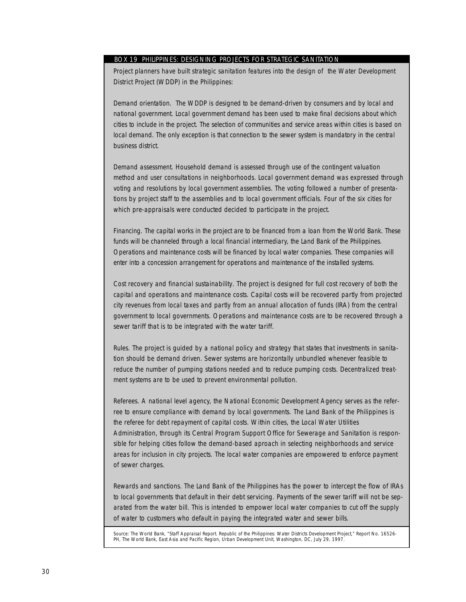## BOX 19 PHILIPPINES: DESIGNING PROJECTS FOR STRATEGIC SANITATION

Project planners have built strategic sanitation features into the design of the Water Development District Project (WDDP) in the Philippines:

*Demand orientation*. The WDDP is designed to be demand-driven by consumers and by local and national government. Local government demand has been used to make final decisions about which cities to include in the project. The selection of communities and service areas within cities is based on local demand. The only exception is that connection to the sewer system is mandatory in the central business district.

*Demand assessment.* Household demand is assessed through use of the contingent valuation method and user consultations in neighborhoods. Local government demand was expressed through voting and resolutions by local government assemblies. The voting followed a number of presentations by project staff to the assemblies and to local government officials. Four of the six cities for which pre-appraisals were conducted decided to participate in the project.

*Financing*. The capital works in the project are to be financed from a loan from the World Bank. These funds will be channeled through a local financial intermediary, the Land Bank of the Philippines. Operations and maintenance costs will be financed by local water companies. These companies will enter into a concession arrangement for operations and maintenance of the installed systems.

*Cost recovery and financial sustainability*. The project is designed for full cost recovery of both the capital and operations and maintenance costs. Capital costs will be recovered partly from projected city revenues from local taxes and partly from an annual allocation of funds (IRA) from the central government to local governments. Operations and maintenance costs are to be recovered through a sewer tariff that is to be integrated with the water tariff.

*Rules*. The project is guided by a national policy and strategy that states that investments in sanitation should be demand driven. Sewer systems are horizontally unbundled whenever feasible to reduce the number of pumping stations needed and to reduce pumping costs. Decentralized treatment systems are to be used to prevent environmental pollution.

*Referees.* A national level agency, the National Economic Development Agency serves as the referree to ensure compliance with demand by local governments. The Land Bank of the Philippines is the referee for debt repayment of capital costs. Within cities, the Local Water Utilities Administration, through its Central Program Support Office for Sewerage and Sanitation is responsible for helping cities follow the demand-based aproach in selecting neighborhoods and service areas for inclusion in city projects. The local water companies are empowered to enforce payment of sewer charges.

*Rewards and sanctions.* The Land Bank of the Philippines has the power to intercept the flow of IRAs to local governments that default in their debt servicing. Payments of the sewer tariff will not be separated from the water bill. This is intended to empower local water companies to cut off the supply of water to customers who default in paying the integrated water and sewer bills.

Source: The World Bank, "Staff Appraisal Report. Republic of the Philippines: Water Districts Development Project," Report No. 16526- PH, The World Bank, East Asia and Pacific Region, Urban Development Unit, Washington, DC, July 29, 1997.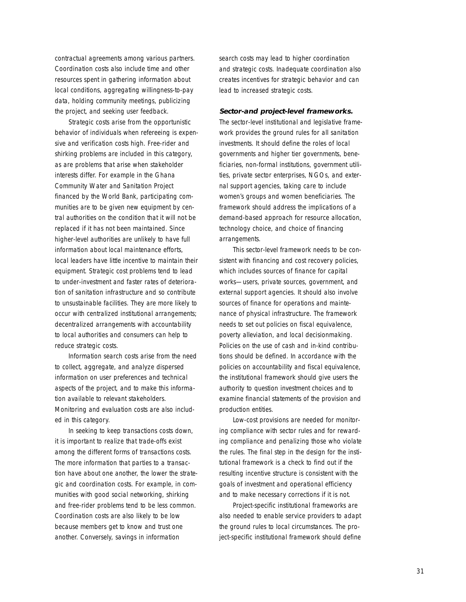contractual agreements among various partners. Coordination costs also include time and other resources spent in gathering information about local conditions, aggregating willingness-to-pay data, holding community meetings, publicizing the project, and seeking user feedback.

Strategic costs arise from the opportunistic behavior of individuals when refereeing is expensive and verification costs high. Free-rider and shirking problems are included in this category, as are problems that arise when stakeholder interests differ. For example in the Ghana Community Water and Sanitation Project financed by the World Bank, participating communities are to be given new equipment by central authorities on the condition that it will not be replaced if it has not been maintained. Since higher-level authorities are unlikely to have full information about local maintenance efforts, local leaders have little incentive to maintain their equipment. Strategic cost problems tend to lead to under-investment and faster rates of deterioration of sanitation infrastructure and so contribute to unsustainable facilities. They are more likely to occur with centralized institutional arrangements; decentralized arrangements with accountability to local authorities and consumers can help to reduce strategic costs.

Information search costs arise from the need to collect, aggregate, and analyze dispersed information on user preferences and technical aspects of the project, and to make this information available to relevant stakeholders. Monitoring and evaluation costs are also included in this category.

In seeking to keep transactions costs down, it is important to realize that trade-offs exist among the different forms of transactions costs. The more information that parties to a transaction have about one another, the lower the strategic and coordination costs. For example, in communities with good social networking, shirking and free-rider problems tend to be less common. Coordination costs are also likely to be low because members get to know and trust one another. Conversely, savings in information

search costs may lead to higher coordination and strategic costs. Inadequate coordination also creates incentives for strategic behavior and can lead to increased strategic costs.

#### **Sector-and project-level frameworks.**

The sector-level institutional and legislative framework provides the ground rules for all sanitation investments. It should define the roles of local governments and higher tier governments, beneficiaries, non-formal institutions, government utilities, private sector enterprises, NGOs, and external support agencies, taking care to include women's groups and women beneficiaries. The framework should address the implications of a demand-based approach for resource allocation, technology choice, and choice of financing arrangements.

This sector-level framework needs to be consistent with financing and cost recovery policies, which includes sources of finance for capital works—users, private sources, government, and external support agencies. It should also involve sources of finance for operations and maintenance of physical infrastructure. The framework needs to set out policies on fiscal equivalence, poverty alleviation, and local decisionmaking. Policies on the use of cash and in-kind contributions should be defined. In accordance with the policies on accountability and fiscal equivalence, the institutional framework should give users the authority to question investment choices and to examine financial statements of the provision and production entities.

Low-cost provisions are needed for monitoring compliance with sector rules and for rewarding compliance and penalizing those who violate the rules. The final step in the design for the institutional framework is a check to find out if the resulting incentive structure is consistent with the goals of investment and operational efficiency and to make necessary corrections if it is not.

Project-specific institutional frameworks are also needed to enable service providers to adapt the ground rules to local circumstances. The project-specific institutional framework should define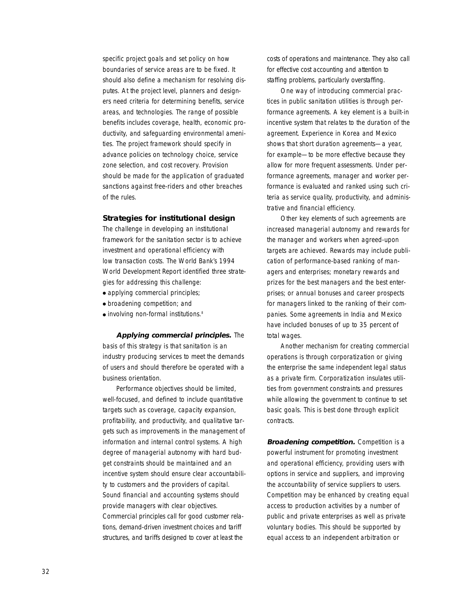specific project goals and set policy on how boundaries of service areas are to be fixed. It should also define a mechanism for resolving disputes. At the project level, planners and designers need criteria for determining benefits, service areas, and technologies. The range of possible benefits includes coverage, health, economic productivity, and safeguarding environmental amenities. The project framework should specify in advance policies on technology choice, service zone selection, and cost recovery. Provision should be made for the application of graduated sanctions against free-riders and other breaches of the rules.

#### **Strategies for institutional design**

The challenge in developing an institutional framework for the sanitation sector is to achieve investment and operational efficiency with low transaction costs. The World Bank's 1994 World Development Report identified three strategies for addressing this challenge:

- applying commercial principles;
- broadening competition; and
- involving non-formal institutions.<sup>8</sup>

**Applying commercial principles.** The basis of this strategy is that sanitation is an industry producing services to meet the demands of users and should therefore be operated with a business orientation.

Performance objectives should be limited, well-focused, and defined to include quantitative targets such as coverage, capacity expansion, profitability, and productivity, and qualitative targets such as improvements in the management of information and internal control systems. A high degree of managerial autonomy with hard budget constraints should be maintained and an incentive system should ensure clear accountability to customers and the providers of capital. Sound financial and accounting systems should provide managers with clear objectives. Commercial principles call for good customer relations, demand-driven investment choices and tariff structures, and tariffs designed to cover at least the

costs of operations and maintenance. They also call for effective cost accounting and attention to staffing problems, particularly overstaffing.

One way of introducing commercial practices in public sanitation utilities is through performance agreements. A key element is a built-in incentive system that relates to the duration of the agreement. Experience in Korea and Mexico shows that short duration agreements—a year, for example—to be more effective because they allow for more frequent assessments. Under performance agreements, manager and worker performance is evaluated and ranked using such criteria as service quality, productivity, and administrative and financial efficiency.

Other key elements of such agreements are increased managerial autonomy and rewards for the manager and workers when agreed-upon targets are achieved. Rewards may include publication of performance-based ranking of managers and enterprises; monetary rewards and prizes for the best managers and the best enterprises; or annual bonuses and career prospects for managers linked to the ranking of their companies. Some agreements in India and Mexico have included bonuses of up to 35 percent of total wages.

Another mechanism for creating commercial operations is through corporatization or giving the enterprise the same independent legal status as a private firm. Corporatization insulates utilities from government constraints and pressures while allowing the government to continue to set basic goals. This is best done through explicit contracts.

**Broadening competition.** Competition is a powerful instrument for promoting investment and operational efficiency, providing users with options in service and suppliers, and improving the accountability of service suppliers to users. Competition may be enhanced by creating equal access to production activities by a number of public and private enterprises as well as private voluntary bodies. This should be supported by equal access to an independent arbitration or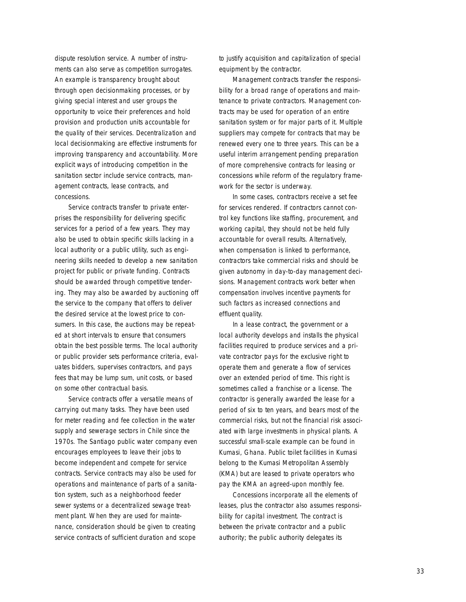dispute resolution service. A number of instruments can also serve as competition surrogates. An example is transparency brought about through open decisionmaking processes, or by giving special interest and user groups the opportunity to voice their preferences and hold provision and production units accountable for the quality of their services. Decentralization and local decisionmaking are effective instruments for improving transparency and accountability. More explicit ways of introducing competition in the sanitation sector include service contracts, management contracts, lease contracts, and concessions.

*Service contracts* transfer to private enterprises the responsibility for delivering specific services for a period of a few years. They may also be used to obtain specific skills lacking in a local authority or a public utility, such as engineering skills needed to develop a new sanitation project for public or private funding. Contracts should be awarded through competitive tendering. They may also be awarded by auctioning off the service to the company that offers to deliver the desired service at the lowest price to consumers. In this case, the auctions may be repeated at short intervals to ensure that consumers obtain the best possible terms. The local authority or public provider sets performance criteria, evaluates bidders, supervises contractors, and pays fees that may be lump sum, unit costs, or based on some other contractual basis.

Service contracts offer a versatile means of carrying out many tasks. They have been used for meter reading and fee collection in the water supply and sewerage sectors in Chile since the 1970s. The Santiago public water company even encourages employees to leave their jobs to become independent and compete for service contracts. Service contracts may also be used for operations and maintenance of parts of a sanitation system, such as a neighborhood feeder sewer systems or a decentralized sewage treatment plant. When they are used for maintenance, consideration should be given to creating service contracts of sufficient duration and scope

to justify acquisition and capitalization of special equipment by the contractor.

*Management contracts* transfer the responsibility for a broad range of operations and maintenance to private contractors. Management contracts may be used for operation of an entire sanitation system or for major parts of it. Multiple suppliers may compete for contracts that may be renewed every one to three years. This can be a useful interim arrangement pending preparation of more comprehensive contracts for leasing or concessions while reform of the regulatory framework for the sector is underway.

In some cases, contractors receive a set fee for services rendered. If contractors cannot control key functions like staffing, procurement, and working capital, they should not be held fully accountable for overall results. Alternatively, when compensation is linked to performance, contractors take commercial risks and should be given autonomy in day-to-day management decisions. Management contracts work better when compensation involves incentive payments for such factors as increased connections and effluent quality.

In a *lease contract,* the government or a local authority develops and installs the physical facilities required to produce services and a private contractor pays for the exclusive right to operate them and generate a flow of services over an extended period of time. This right is sometimes called a franchise or a license. The contractor is generally awarded the lease for a period of six to ten years, and bears most of the commercial risks, but not the financial risk associated with large investments in physical plants. A successful small-scale example can be found in Kumasi, Ghana. Public toilet facilities in Kumasi belong to the Kumasi Metropolitan Assembly (KMA) but are leased to private operators who pay the KMA an agreed-upon monthly fee.

*Concessions* incorporate all the elements of leases, plus the contractor also assumes responsibility for capital investment. The contract is between the private contractor and a public authority; the public authority delegates its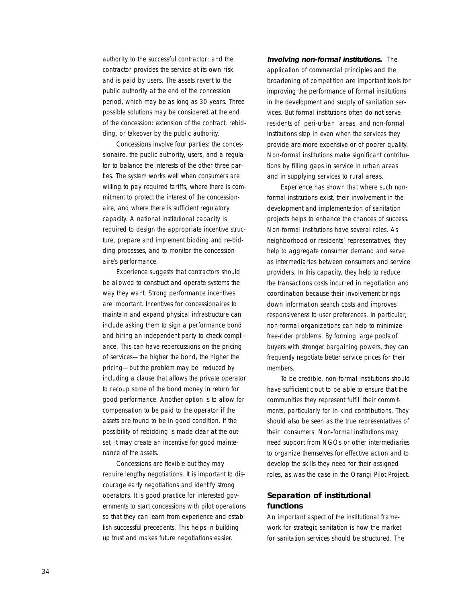authority to the successful contractor; and the contractor provides the service at its own risk and is paid by users. The assets revert to the public authority at the end of the concession period, which may be as long as 30 years. Three possible solutions may be considered at the end of the concession: extension of the contract, rebidding, or takeover by the public authority.

Concessions involve four parties: the concessionaire, the public authority, users, and a regulator to balance the interests of the other three parties. The system works well when consumers are willing to pay required tariffs, where there is commitment to protect the interest of the concessionaire, and where there is sufficient regulatory capacity. A national institutional capacity is required to design the appropriate incentive structure, prepare and implement bidding and re-bidding processes, and to monitor the concessionaire's performance.

Experience suggests that contractors should be allowed to construct and operate systems the way they want. Strong performance incentives are important. Incentives for concessionaires to maintain and expand physical infrastructure can include asking them to sign a performance bond and hiring an independent party to check compliance. This can have repercussions on the pricing of services—the higher the bond, the higher the pricing—but the problem may be reduced by including a clause that allows the private operator to recoup some of the bond money in return for good performance. Another option is to allow for compensation to be paid to the operator if the assets are found to be in good condition. If the possibility of rebidding is made clear at the outset, it may create an incentive for good maintenance of the assets.

Concessions are flexible but they may require lengthy negotiations. It is important to discourage early negotiations and identify strong operators. It is good practice for interested governments to start concessions with pilot operations so that they can learn from experience and establish successful precedents. This helps in building up trust and makes future negotiations easier.

**Involving non-formal institutions.** The application of commercial principles and the broadening of competition are important tools for improving the performance of formal institutions in the development and supply of sanitation services. But formal institutions often do not serve residents of peri-urban areas, and non-formal institutions step in even when the services they provide are more expensive or of poorer quality. Non-formal institutions make significant contributions by filling gaps in service in urban areas and in supplying services to rural areas.

Experience has shown that where such nonformal institutions exist, their involvement in the development and implementation of sanitation projects helps to enhance the chances of success. Non-formal institutions have several roles. As neighborhood or residents' representatives, they help to aggregate consumer demand and serve as intermediaries between consumers and service providers. In this capacity, they help to reduce the transactions costs incurred in negotiation and coordination because their involvement brings down information search costs and improves responsiveness to user preferences. In particular, non-formal organizations can help to minimize free-rider problems. By forming large pools of buyers with stronger bargaining powers, they can frequently negotiate better service prices for their members.

To be credible, non-formal institutions should have sufficient clout to be able to ensure that the communities they represent fulfill their commitments, particularly for in-kind contributions. They should also be seen as the true representatives of their consumers. Non-formal institutions may need support from NGOs or other intermediaries to organize themselves for effective action and to develop the skills they need for their assigned roles, as was the case in the Orangi Pilot Project.

## **Separation of institutional functions**

An important aspect of the institutional framework for strategic sanitation is how the market for sanitation services should be structured. The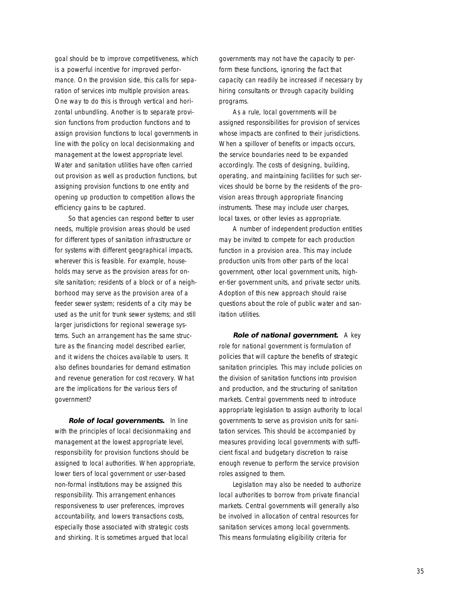goal should be to improve competitiveness, which is a powerful incentive for improved performance. On the provision side, this calls for separation of services into multiple provision areas. One way to do this is through vertical and horizontal unbundling. Another is to separate provision functions from production functions and to assign provision functions to local governments in line with the policy on local decisionmaking and management at the lowest appropriate level. Water and sanitation utilities have often carried out provision as well as production functions, but assigning provision functions to one entity and opening up production to competition allows the efficiency gains to be captured.

So that agencies can respond better to user needs, multiple provision areas should be used for different types of sanitation infrastructure or for systems with different geographical impacts, wherever this is feasible. For example, households may serve as the provision areas for onsite sanitation; residents of a block or of a neighborhood may serve as the provision area of a feeder sewer system; residents of a city may be used as the unit for trunk sewer systems; and still larger jurisdictions for regional sewerage systems. Such an arrangement has the same structure as the financing model described earlier, and it widens the choices available to users. It also defines boundaries for demand estimation and revenue generation for cost recovery. What are the implications for the various tiers of government?

**Role of local governments.** In line with the principles of local decisionmaking and management at the lowest appropriate level, responsibility for provision functions should be assigned to local authorities. When appropriate, lower tiers of local government or user-based non-formal institutions may be assigned this responsibility. This arrangement enhances responsiveness to user preferences, improves accountability, and lowers transactions costs, especially those associated with strategic costs and shirking. It is sometimes argued that local

governments may not have the capacity to perform these functions, ignoring the fact that capacity can readily be increased if necessary by hiring consultants or through capacity building programs.

As a rule, local governments will be assigned responsibilities for provision of services whose impacts are confined to their jurisdictions. When a spillover of benefits or impacts occurs, the service boundaries need to be expanded accordingly. The costs of designing, building, operating, and maintaining facilities for such services should be borne by the residents of the provision areas through appropriate financing instruments. These may include user charges, local taxes, or other levies as appropriate.

A number of independent production entities may be invited to compete for each production function in a provision area. This may include production units from other parts of the local government, other local government units, higher-tier government units, and private sector units. Adoption of this new approach should raise questions about the role of public water and sanitation utilities.

**Role of national government.** A key role for national government is formulation of policies that will capture the benefits of strategic sanitation principles. This may include policies on the division of sanitation functions into provision and production, and the structuring of sanitation markets. Central governments need to introduce appropriate legislation to assign authority to local governments to serve as provision units for sanitation services. This should be accompanied by measures providing local governments with sufficient fiscal and budgetary discretion to raise enough revenue to perform the service provision roles assigned to them.

Legislation may also be needed to authorize local authorities to borrow from private financial markets. Central governments will generally also be involved in allocation of central resources for sanitation services among local governments. This means formulating eligibility criteria for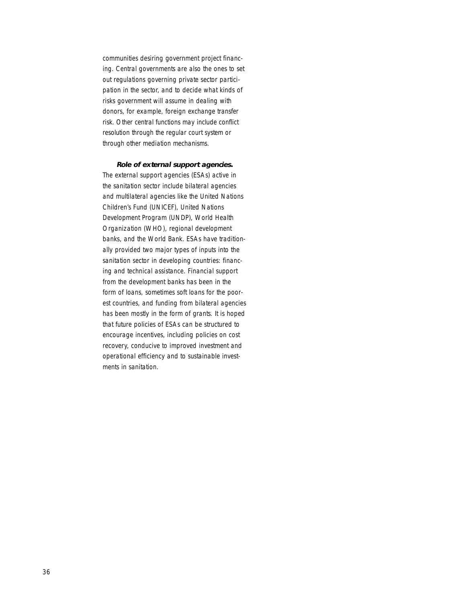communities desiring government project financing. Central governments are also the ones to set out regulations governing private sector participation in the sector, and to decide what kinds of risks government will assume in dealing with donors, for example, foreign exchange transfer risk. Other central functions may include conflict resolution through the regular court system or through other mediation mechanisms.

#### **Role of external support agencies.**

The external support agencies (ESAs) active in the sanitation sector include bilateral agencies and multilateral agencies like the United Nations Children's Fund (UNICEF), United Nations Development Program (UNDP), World Health Organization (WHO), regional development banks, and the World Bank. ESAs have traditionally provided two major types of inputs into the sanitation sector in developing countries: financing and technical assistance. Financial support from the development banks has been in the form of loans, sometimes soft loans for the poorest countries, and funding from bilateral agencies has been mostly in the form of grants. It is hoped that future policies of ESAs can be structured to encourage incentives, including policies on cost recovery, conducive to improved investment and operational efficiency and to sustainable investments in sanitation.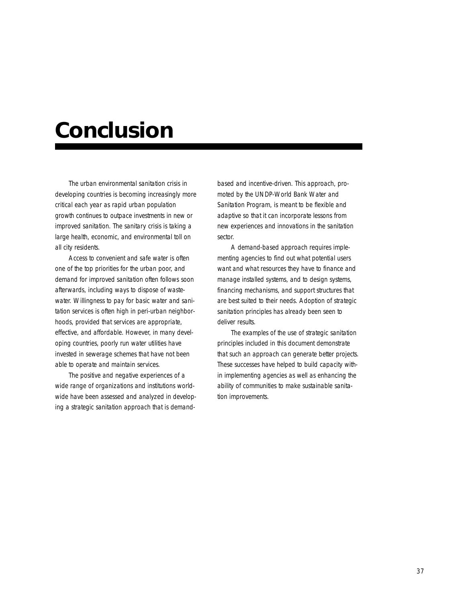## **Conclusion**

The urban environmental sanitation crisis in developing countries is becoming increasingly more critical each year as rapid urban population growth continues to outpace investments in new or improved sanitation. The sanitary crisis is taking a large health, economic, and environmental toll on all city residents.

Access to convenient and safe water is often one of the top priorities for the urban poor, and demand for improved sanitation often follows soon afterwards, including ways to dispose of wastewater. Willingness to pay for basic water and sanitation services is often high in peri-urban neighborhoods, provided that services are appropriate, effective, and affordable. However, in many developing countries, poorly run water utilities have invested in sewerage schemes that have not been able to operate and maintain services.

The positive and negative experiences of a wide range of organizations and institutions worldwide have been assessed and analyzed in developing a strategic sanitation approach that is demandbased and incentive-driven. This approach, promoted by the UNDP-World Bank Water and Sanitation Program, is meant to be flexible and adaptive so that it can incorporate lessons from new experiences and innovations in the sanitation sector.

A demand-based approach requires implementing agencies to find out what potential users want and what resources they have to finance and manage installed systems, and to design systems, financing mechanisms, and support structures that are best suited to their needs. Adoption of strategic sanitation principles has already been seen to deliver results.

The examples of the use of strategic sanitation principles included in this document demonstrate that such an approach can generate better projects. These successes have helped to build capacity within implementing agencies as well as enhancing the ability of communities to make sustainable sanitation improvements.